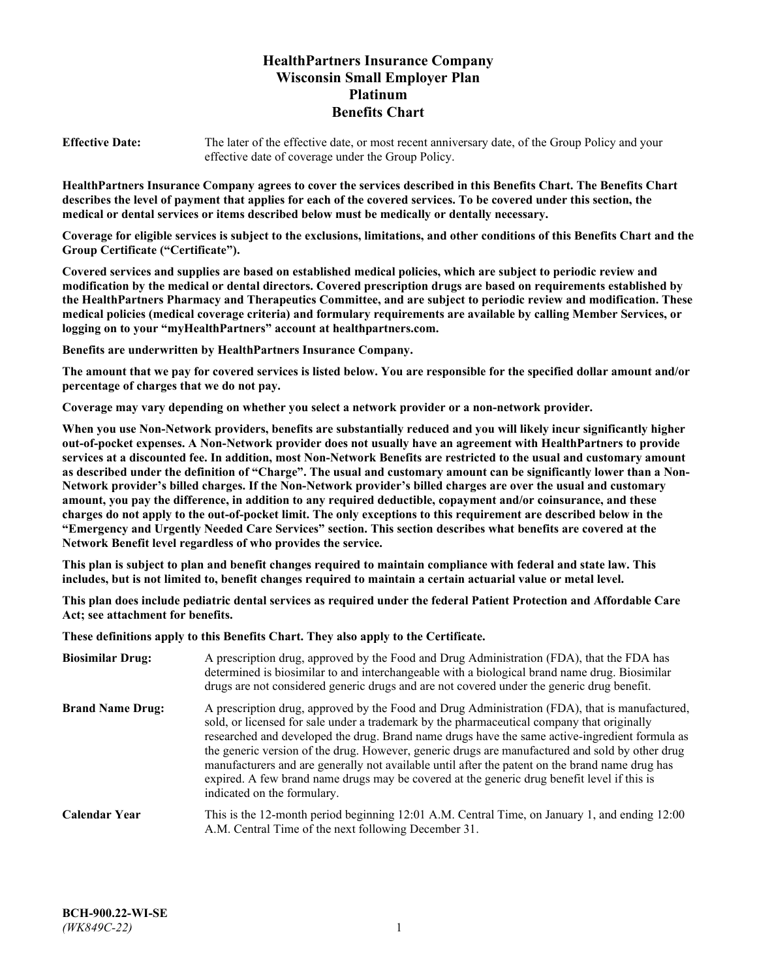# **HealthPartners Insurance Company Wisconsin Small Employer Plan Platinum Benefits Chart**

**Effective Date:** The later of the effective date, or most recent anniversary date, of the Group Policy and your effective date of coverage under the Group Policy.

**HealthPartners Insurance Company agrees to cover the services described in this Benefits Chart. The Benefits Chart describes the level of payment that applies for each of the covered services. To be covered under this section, the medical or dental services or items described below must be medically or dentally necessary.**

**Coverage for eligible services is subject to the exclusions, limitations, and other conditions of this Benefits Chart and the Group Certificate ("Certificate").**

**Covered services and supplies are based on established medical policies, which are subject to periodic review and modification by the medical or dental directors. Covered prescription drugs are based on requirements established by the HealthPartners Pharmacy and Therapeutics Committee, and are subject to periodic review and modification. These medical policies (medical coverage criteria) and formulary requirements are available by calling Member Services, or logging on to your "myHealthPartners" account at [healthpartners.com.](https://www.healthpartners.com/hp/index.html)**

**Benefits are underwritten by HealthPartners Insurance Company.**

**The amount that we pay for covered services is listed below. You are responsible for the specified dollar amount and/or percentage of charges that we do not pay.**

**Coverage may vary depending on whether you select a network provider or a non-network provider.**

**When you use Non-Network providers, benefits are substantially reduced and you will likely incur significantly higher out-of-pocket expenses. A Non-Network provider does not usually have an agreement with HealthPartners to provide services at a discounted fee. In addition, most Non-Network Benefits are restricted to the usual and customary amount as described under the definition of "Charge". The usual and customary amount can be significantly lower than a Non-Network provider's billed charges. If the Non-Network provider's billed charges are over the usual and customary amount, you pay the difference, in addition to any required deductible, copayment and/or coinsurance, and these charges do not apply to the out-of-pocket limit. The only exceptions to this requirement are described below in the "Emergency and Urgently Needed Care Services" section. This section describes what benefits are covered at the Network Benefit level regardless of who provides the service.**

**This plan is subject to plan and benefit changes required to maintain compliance with federal and state law. This includes, but is not limited to, benefit changes required to maintain a certain actuarial value or metal level.**

**This plan does include pediatric dental services as required under the federal Patient Protection and Affordable Care Act; see attachment for benefits.**

**These definitions apply to this Benefits Chart. They also apply to the Certificate.**

| <b>Biosimilar Drug:</b> | A prescription drug, approved by the Food and Drug Administration (FDA), that the FDA has<br>determined is biosimilar to and interchangeable with a biological brand name drug. Biosimilar<br>drugs are not considered generic drugs and are not covered under the generic drug benefit.                                                                                                                                                                                                                                                                                                                                           |
|-------------------------|------------------------------------------------------------------------------------------------------------------------------------------------------------------------------------------------------------------------------------------------------------------------------------------------------------------------------------------------------------------------------------------------------------------------------------------------------------------------------------------------------------------------------------------------------------------------------------------------------------------------------------|
| <b>Brand Name Drug:</b> | A prescription drug, approved by the Food and Drug Administration (FDA), that is manufactured,<br>sold, or licensed for sale under a trademark by the pharmaceutical company that originally<br>researched and developed the drug. Brand name drugs have the same active-ingredient formula as<br>the generic version of the drug. However, generic drugs are manufactured and sold by other drug<br>manufacturers and are generally not available until after the patent on the brand name drug has<br>expired. A few brand name drugs may be covered at the generic drug benefit level if this is<br>indicated on the formulary. |
| <b>Calendar Year</b>    | This is the 12-month period beginning 12:01 A.M. Central Time, on January 1, and ending 12:00<br>A.M. Central Time of the next following December 31.                                                                                                                                                                                                                                                                                                                                                                                                                                                                              |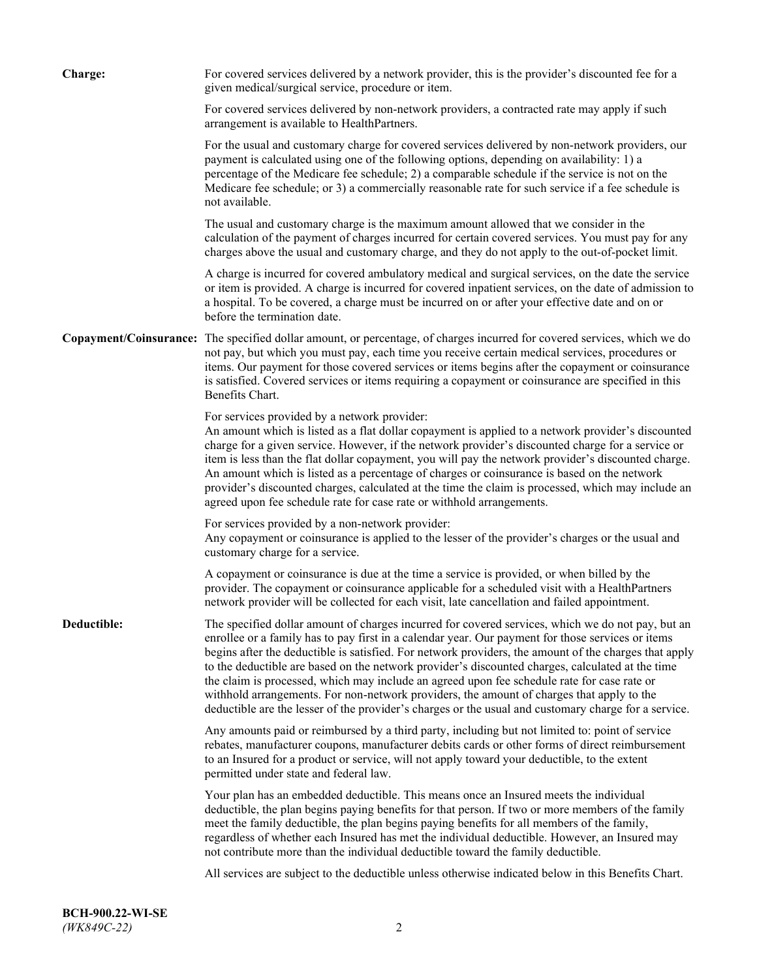| <b>Charge:</b> | For covered services delivered by a network provider, this is the provider's discounted fee for a<br>given medical/surgical service, procedure or item.                                                                                                                                                                                                                                                                                                                                                                                                                                                                                                                                                                 |
|----------------|-------------------------------------------------------------------------------------------------------------------------------------------------------------------------------------------------------------------------------------------------------------------------------------------------------------------------------------------------------------------------------------------------------------------------------------------------------------------------------------------------------------------------------------------------------------------------------------------------------------------------------------------------------------------------------------------------------------------------|
|                | For covered services delivered by non-network providers, a contracted rate may apply if such<br>arrangement is available to HealthPartners.                                                                                                                                                                                                                                                                                                                                                                                                                                                                                                                                                                             |
|                | For the usual and customary charge for covered services delivered by non-network providers, our<br>payment is calculated using one of the following options, depending on availability: 1) a<br>percentage of the Medicare fee schedule; 2) a comparable schedule if the service is not on the<br>Medicare fee schedule; or 3) a commercially reasonable rate for such service if a fee schedule is<br>not available.                                                                                                                                                                                                                                                                                                   |
|                | The usual and customary charge is the maximum amount allowed that we consider in the<br>calculation of the payment of charges incurred for certain covered services. You must pay for any<br>charges above the usual and customary charge, and they do not apply to the out-of-pocket limit.                                                                                                                                                                                                                                                                                                                                                                                                                            |
|                | A charge is incurred for covered ambulatory medical and surgical services, on the date the service<br>or item is provided. A charge is incurred for covered inpatient services, on the date of admission to<br>a hospital. To be covered, a charge must be incurred on or after your effective date and on or<br>before the termination date.                                                                                                                                                                                                                                                                                                                                                                           |
|                | Copayment/Coinsurance: The specified dollar amount, or percentage, of charges incurred for covered services, which we do<br>not pay, but which you must pay, each time you receive certain medical services, procedures or<br>items. Our payment for those covered services or items begins after the copayment or coinsurance<br>is satisfied. Covered services or items requiring a copayment or coinsurance are specified in this<br>Benefits Chart.                                                                                                                                                                                                                                                                 |
|                | For services provided by a network provider:<br>An amount which is listed as a flat dollar copayment is applied to a network provider's discounted<br>charge for a given service. However, if the network provider's discounted charge for a service or<br>item is less than the flat dollar copayment, you will pay the network provider's discounted charge.<br>An amount which is listed as a percentage of charges or coinsurance is based on the network<br>provider's discounted charges, calculated at the time the claim is processed, which may include an<br>agreed upon fee schedule rate for case rate or withhold arrangements.                                                                            |
|                | For services provided by a non-network provider:<br>Any copayment or coinsurance is applied to the lesser of the provider's charges or the usual and<br>customary charge for a service.                                                                                                                                                                                                                                                                                                                                                                                                                                                                                                                                 |
|                | A copayment or coinsurance is due at the time a service is provided, or when billed by the<br>provider. The copayment or coinsurance applicable for a scheduled visit with a HealthPartners<br>network provider will be collected for each visit, late cancellation and failed appointment.                                                                                                                                                                                                                                                                                                                                                                                                                             |
| Deductible:    | The specified dollar amount of charges incurred for covered services, which we do not pay, but an<br>enrollee or a family has to pay first in a calendar year. Our payment for those services or items<br>begins after the deductible is satisfied. For network providers, the amount of the charges that apply<br>to the deductible are based on the network provider's discounted charges, calculated at the time<br>the claim is processed, which may include an agreed upon fee schedule rate for case rate or<br>withhold arrangements. For non-network providers, the amount of charges that apply to the<br>deductible are the lesser of the provider's charges or the usual and customary charge for a service. |
|                | Any amounts paid or reimbursed by a third party, including but not limited to: point of service<br>rebates, manufacturer coupons, manufacturer debits cards or other forms of direct reimbursement<br>to an Insured for a product or service, will not apply toward your deductible, to the extent<br>permitted under state and federal law.                                                                                                                                                                                                                                                                                                                                                                            |
|                | Your plan has an embedded deductible. This means once an Insured meets the individual<br>deductible, the plan begins paying benefits for that person. If two or more members of the family<br>meet the family deductible, the plan begins paying benefits for all members of the family,<br>regardless of whether each Insured has met the individual deductible. However, an Insured may<br>not contribute more than the individual deductible toward the family deductible.                                                                                                                                                                                                                                           |
|                | All services are subject to the deductible unless otherwise indicated below in this Benefits Chart.                                                                                                                                                                                                                                                                                                                                                                                                                                                                                                                                                                                                                     |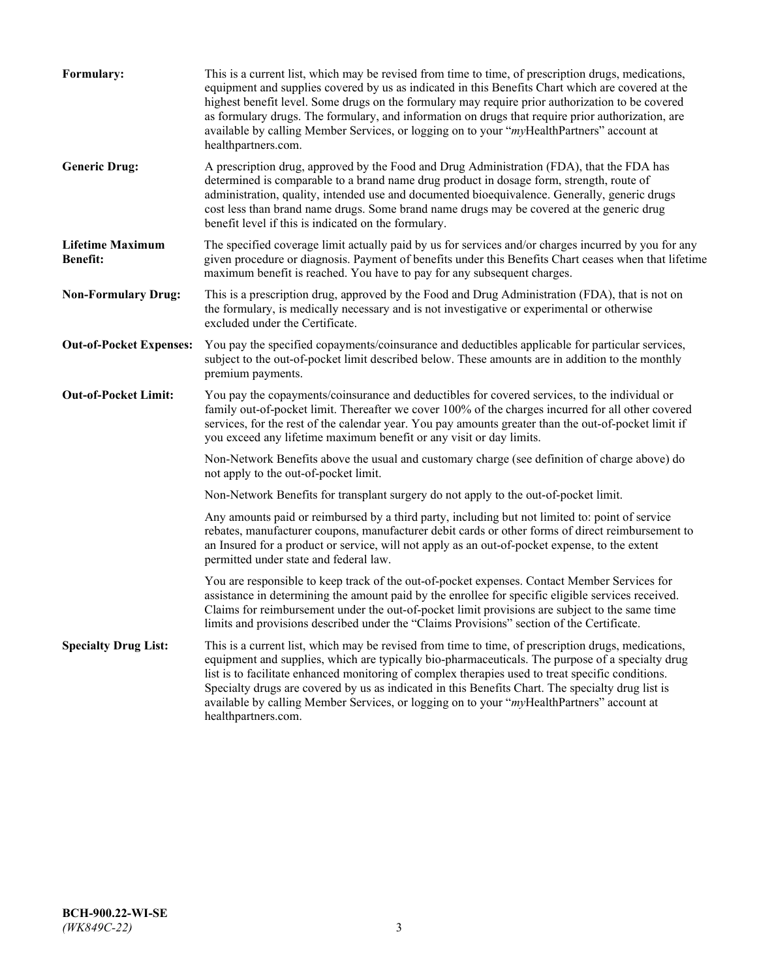| Formulary:                                 | This is a current list, which may be revised from time to time, of prescription drugs, medications,<br>equipment and supplies covered by us as indicated in this Benefits Chart which are covered at the<br>highest benefit level. Some drugs on the formulary may require prior authorization to be covered<br>as formulary drugs. The formulary, and information on drugs that require prior authorization, are<br>available by calling Member Services, or logging on to your "myHealthPartners" account at<br>healthpartners.com. |
|--------------------------------------------|---------------------------------------------------------------------------------------------------------------------------------------------------------------------------------------------------------------------------------------------------------------------------------------------------------------------------------------------------------------------------------------------------------------------------------------------------------------------------------------------------------------------------------------|
| <b>Generic Drug:</b>                       | A prescription drug, approved by the Food and Drug Administration (FDA), that the FDA has<br>determined is comparable to a brand name drug product in dosage form, strength, route of<br>administration, quality, intended use and documented bioequivalence. Generally, generic drugs<br>cost less than brand name drugs. Some brand name drugs may be covered at the generic drug<br>benefit level if this is indicated on the formulary.                                                                                           |
| <b>Lifetime Maximum</b><br><b>Benefit:</b> | The specified coverage limit actually paid by us for services and/or charges incurred by you for any<br>given procedure or diagnosis. Payment of benefits under this Benefits Chart ceases when that lifetime<br>maximum benefit is reached. You have to pay for any subsequent charges.                                                                                                                                                                                                                                              |
| <b>Non-Formulary Drug:</b>                 | This is a prescription drug, approved by the Food and Drug Administration (FDA), that is not on<br>the formulary, is medically necessary and is not investigative or experimental or otherwise<br>excluded under the Certificate.                                                                                                                                                                                                                                                                                                     |
| <b>Out-of-Pocket Expenses:</b>             | You pay the specified copayments/coinsurance and deductibles applicable for particular services,<br>subject to the out-of-pocket limit described below. These amounts are in addition to the monthly<br>premium payments.                                                                                                                                                                                                                                                                                                             |
| <b>Out-of-Pocket Limit:</b>                | You pay the copayments/coinsurance and deductibles for covered services, to the individual or<br>family out-of-pocket limit. Thereafter we cover 100% of the charges incurred for all other covered<br>services, for the rest of the calendar year. You pay amounts greater than the out-of-pocket limit if<br>you exceed any lifetime maximum benefit or any visit or day limits.                                                                                                                                                    |
|                                            | Non-Network Benefits above the usual and customary charge (see definition of charge above) do<br>not apply to the out-of-pocket limit.                                                                                                                                                                                                                                                                                                                                                                                                |
|                                            | Non-Network Benefits for transplant surgery do not apply to the out-of-pocket limit.                                                                                                                                                                                                                                                                                                                                                                                                                                                  |
|                                            | Any amounts paid or reimbursed by a third party, including but not limited to: point of service<br>rebates, manufacturer coupons, manufacturer debit cards or other forms of direct reimbursement to<br>an Insured for a product or service, will not apply as an out-of-pocket expense, to the extent<br>permitted under state and federal law.                                                                                                                                                                                      |
|                                            | You are responsible to keep track of the out-of-pocket expenses. Contact Member Services for<br>assistance in determining the amount paid by the enrollee for specific eligible services received.<br>Claims for reimbursement under the out-of-pocket limit provisions are subject to the same time<br>limits and provisions described under the "Claims Provisions" section of the Certificate.                                                                                                                                     |
| <b>Specialty Drug List:</b>                | This is a current list, which may be revised from time to time, of prescription drugs, medications,<br>equipment and supplies, which are typically bio-pharmaceuticals. The purpose of a specialty drug<br>list is to facilitate enhanced monitoring of complex therapies used to treat specific conditions.<br>Specialty drugs are covered by us as indicated in this Benefits Chart. The specialty drug list is<br>available by calling Member Services, or logging on to your "myHealthPartners" account at<br>healthpartners.com. |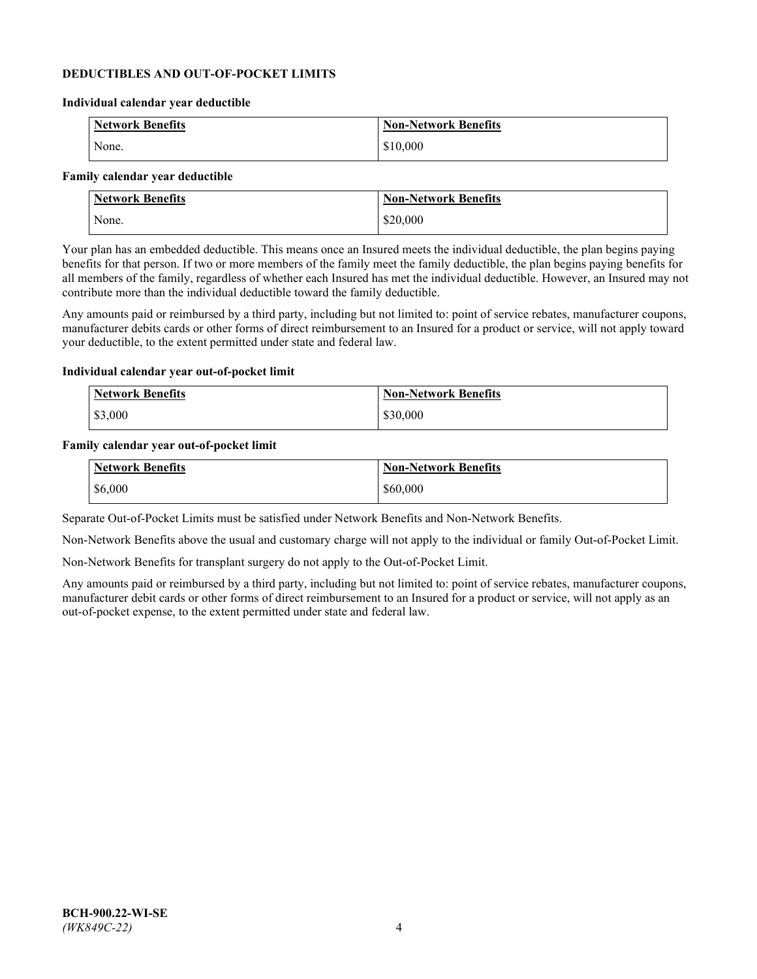#### **DEDUCTIBLES AND OUT-OF-POCKET LIMITS**

#### **Individual calendar year deductible**

| <b>Network Benefits</b> | <b>Non-Network Benefits</b> |
|-------------------------|-----------------------------|
| None.                   | \$10,000                    |

#### **Family calendar year deductible**

| <b>Network Benefits</b> | <b>Non-Network Benefits</b> |
|-------------------------|-----------------------------|
| None.                   | \$20,000                    |

Your plan has an embedded deductible. This means once an Insured meets the individual deductible, the plan begins paying benefits for that person. If two or more members of the family meet the family deductible, the plan begins paying benefits for all members of the family, regardless of whether each Insured has met the individual deductible. However, an Insured may not contribute more than the individual deductible toward the family deductible.

Any amounts paid or reimbursed by a third party, including but not limited to: point of service rebates, manufacturer coupons, manufacturer debits cards or other forms of direct reimbursement to an Insured for a product or service, will not apply toward your deductible, to the extent permitted under state and federal law.

#### **Individual calendar year out-of-pocket limit**

| <b>Network Benefits</b> | <b>Non-Network Benefits</b> |
|-------------------------|-----------------------------|
| \$3,000                 | \$30,000                    |

#### **Family calendar year out-of-pocket limit**

| <b>Network Benefits</b> | <b>Non-Network Benefits</b> |
|-------------------------|-----------------------------|
| \$6,000                 | \$60,000                    |

Separate Out-of-Pocket Limits must be satisfied under Network Benefits and Non-Network Benefits.

Non-Network Benefits above the usual and customary charge will not apply to the individual or family Out-of-Pocket Limit.

Non-Network Benefits for transplant surgery do not apply to the Out-of-Pocket Limit.

Any amounts paid or reimbursed by a third party, including but not limited to: point of service rebates, manufacturer coupons, manufacturer debit cards or other forms of direct reimbursement to an Insured for a product or service, will not apply as an out-of-pocket expense, to the extent permitted under state and federal law.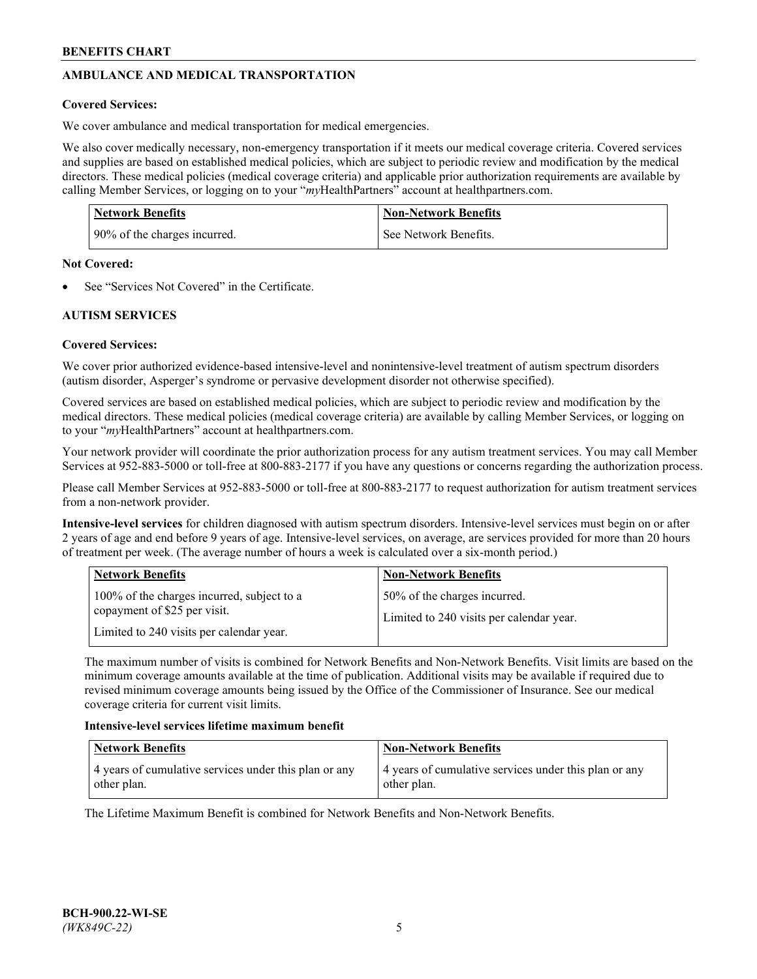# **AMBULANCE AND MEDICAL TRANSPORTATION**

# **Covered Services:**

We cover ambulance and medical transportation for medical emergencies.

We also cover medically necessary, non-emergency transportation if it meets our medical coverage criteria. Covered services and supplies are based on established medical policies, which are subject to periodic review and modification by the medical directors. These medical policies (medical coverage criteria) and applicable prior authorization requirements are available by calling Member Services, or logging on to your "*my*HealthPartners" account a[t healthpartners.com.](https://www.healthpartners.com/hp/index.html)

| Network Benefits             | <b>Non-Network Benefits</b> |
|------------------------------|-----------------------------|
| 90% of the charges incurred. | See Network Benefits.       |

## **Not Covered:**

See "Services Not Covered" in the Certificate.

# **AUTISM SERVICES**

# **Covered Services:**

We cover prior authorized evidence-based intensive-level and nonintensive-level treatment of autism spectrum disorders (autism disorder, Asperger's syndrome or pervasive development disorder not otherwise specified).

Covered services are based on established medical policies, which are subject to periodic review and modification by the medical directors. These medical policies (medical coverage criteria) are available by calling Member Services, or logging on to your "*my*HealthPartners" account at [healthpartners.com.](https://www.healthpartners.com/hp/index.html)

Your network provider will coordinate the prior authorization process for any autism treatment services. You may call Member Services at 952-883-5000 or toll-free at 800-883-2177 if you have any questions or concerns regarding the authorization process.

Please call Member Services at 952-883-5000 or toll-free at 800-883-2177 to request authorization for autism treatment services from a non-network provider.

**Intensive-level services** for children diagnosed with autism spectrum disorders. Intensive-level services must begin on or after 2 years of age and end before 9 years of age. Intensive-level services, on average, are services provided for more than 20 hours of treatment per week. (The average number of hours a week is calculated over a six-month period.)

| <b>Network Benefits</b>                                                    | <b>Non-Network Benefits</b>                                              |
|----------------------------------------------------------------------------|--------------------------------------------------------------------------|
| 100% of the charges incurred, subject to a<br>copayment of \$25 per visit. | 50% of the charges incurred.<br>Limited to 240 visits per calendar year. |
| Limited to 240 visits per calendar year.                                   |                                                                          |

The maximum number of visits is combined for Network Benefits and Non-Network Benefits. Visit limits are based on the minimum coverage amounts available at the time of publication. Additional visits may be available if required due to revised minimum coverage amounts being issued by the Office of the Commissioner of Insurance. See our medical coverage criteria for current visit limits.

## **Intensive-level services lifetime maximum benefit**

| Network Benefits                                      | <b>Non-Network Benefits</b>                           |
|-------------------------------------------------------|-------------------------------------------------------|
| 4 years of cumulative services under this plan or any | 4 years of cumulative services under this plan or any |
| other plan.                                           | other plan.                                           |

The Lifetime Maximum Benefit is combined for Network Benefits and Non-Network Benefits.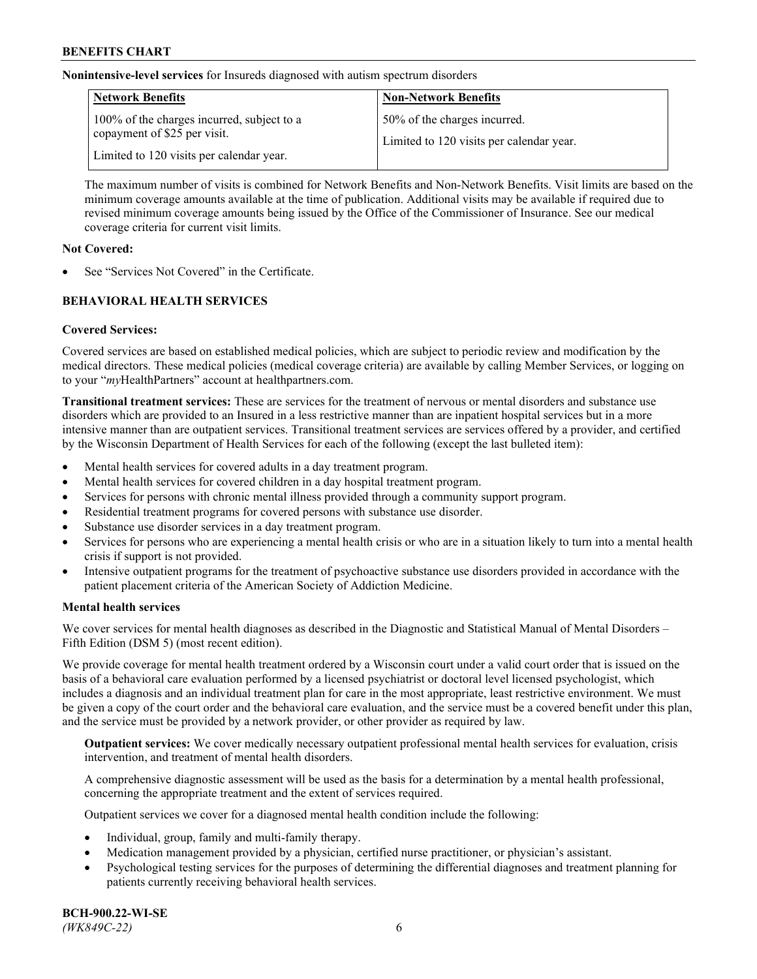#### **Nonintensive-level services** for Insureds diagnosed with autism spectrum disorders

| <b>Network Benefits</b>                    | <b>Non-Network Benefits</b>              |
|--------------------------------------------|------------------------------------------|
| 100% of the charges incurred, subject to a | 50% of the charges incurred.             |
| copayment of \$25 per visit.               | Limited to 120 visits per calendar year. |
| Limited to 120 visits per calendar year.   |                                          |

The maximum number of visits is combined for Network Benefits and Non-Network Benefits. Visit limits are based on the minimum coverage amounts available at the time of publication. Additional visits may be available if required due to revised minimum coverage amounts being issued by the Office of the Commissioner of Insurance. See our medical coverage criteria for current visit limits.

#### **Not Covered:**

See "Services Not Covered" in the Certificate.

## **BEHAVIORAL HEALTH SERVICES**

## **Covered Services:**

Covered services are based on established medical policies, which are subject to periodic review and modification by the medical directors. These medical policies (medical coverage criteria) are available by calling Member Services, or logging on to your "*my*HealthPartners" account at [healthpartners.com.](https://www.healthpartners.com/hp/index.html)

**Transitional treatment services:** These are services for the treatment of nervous or mental disorders and substance use disorders which are provided to an Insured in a less restrictive manner than are inpatient hospital services but in a more intensive manner than are outpatient services. Transitional treatment services are services offered by a provider, and certified by the Wisconsin Department of Health Services for each of the following (except the last bulleted item):

- Mental health services for covered adults in a day treatment program.
- Mental health services for covered children in a day hospital treatment program.
- Services for persons with chronic mental illness provided through a community support program.
- Residential treatment programs for covered persons with substance use disorder.
- Substance use disorder services in a day treatment program.
- Services for persons who are experiencing a mental health crisis or who are in a situation likely to turn into a mental health crisis if support is not provided.
- Intensive outpatient programs for the treatment of psychoactive substance use disorders provided in accordance with the patient placement criteria of the American Society of Addiction Medicine.

#### **Mental health services**

We cover services for mental health diagnoses as described in the Diagnostic and Statistical Manual of Mental Disorders – Fifth Edition (DSM 5) (most recent edition).

We provide coverage for mental health treatment ordered by a Wisconsin court under a valid court order that is issued on the basis of a behavioral care evaluation performed by a licensed psychiatrist or doctoral level licensed psychologist, which includes a diagnosis and an individual treatment plan for care in the most appropriate, least restrictive environment. We must be given a copy of the court order and the behavioral care evaluation, and the service must be a covered benefit under this plan, and the service must be provided by a network provider, or other provider as required by law.

**Outpatient services:** We cover medically necessary outpatient professional mental health services for evaluation, crisis intervention, and treatment of mental health disorders.

A comprehensive diagnostic assessment will be used as the basis for a determination by a mental health professional, concerning the appropriate treatment and the extent of services required.

Outpatient services we cover for a diagnosed mental health condition include the following:

- Individual, group, family and multi-family therapy.
- Medication management provided by a physician, certified nurse practitioner, or physician's assistant.
- Psychological testing services for the purposes of determining the differential diagnoses and treatment planning for patients currently receiving behavioral health services.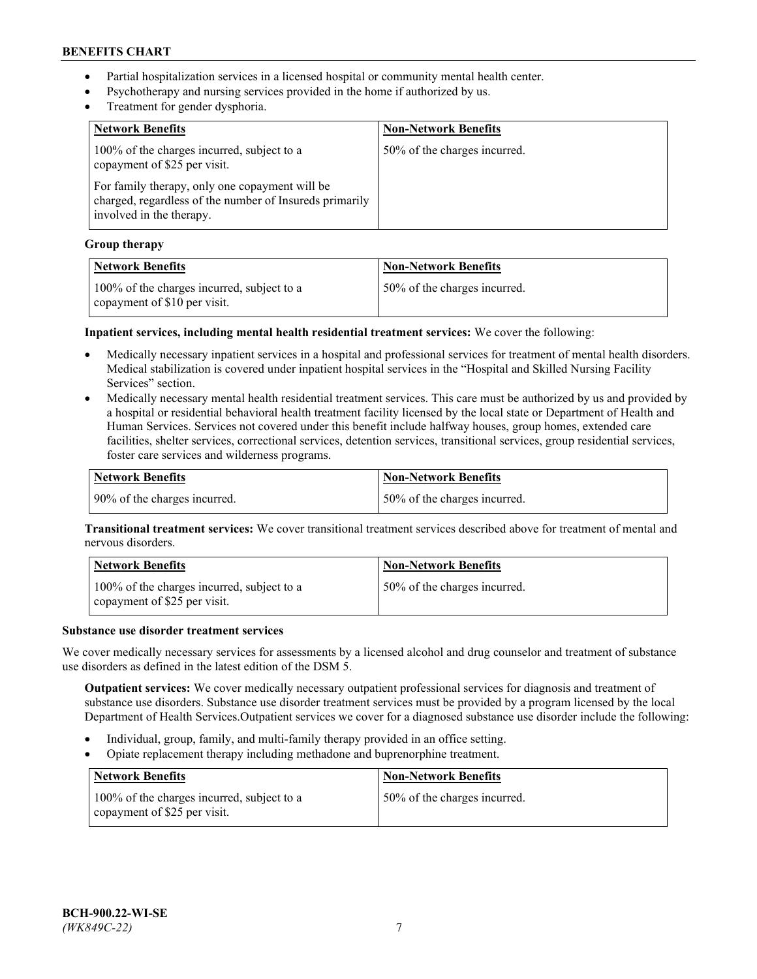- Partial hospitalization services in a licensed hospital or community mental health center.
- Psychotherapy and nursing services provided in the home if authorized by us.
- Treatment for gender dysphoria.

| <b>Network Benefits</b>                                                                                                               | <b>Non-Network Benefits</b>  |
|---------------------------------------------------------------------------------------------------------------------------------------|------------------------------|
| 100% of the charges incurred, subject to a<br>copayment of \$25 per visit.                                                            | 50% of the charges incurred. |
| For family therapy, only one copayment will be<br>charged, regardless of the number of Insureds primarily<br>involved in the therapy. |                              |

#### **Group therapy**

| Network Benefits                                                           | <b>Non-Network Benefits</b>  |
|----------------------------------------------------------------------------|------------------------------|
| 100% of the charges incurred, subject to a<br>copayment of \$10 per visit. | 50% of the charges incurred. |

## **Inpatient services, including mental health residential treatment services:** We cover the following:

- Medically necessary inpatient services in a hospital and professional services for treatment of mental health disorders. Medical stabilization is covered under inpatient hospital services in the "Hospital and Skilled Nursing Facility Services" section.
- Medically necessary mental health residential treatment services. This care must be authorized by us and provided by a hospital or residential behavioral health treatment facility licensed by the local state or Department of Health and Human Services. Services not covered under this benefit include halfway houses, group homes, extended care facilities, shelter services, correctional services, detention services, transitional services, group residential services, foster care services and wilderness programs.

| Network Benefits             | <b>Non-Network Benefits</b>  |
|------------------------------|------------------------------|
| 90% of the charges incurred. | 50% of the charges incurred. |

**Transitional treatment services:** We cover transitional treatment services described above for treatment of mental and nervous disorders.

| Network Benefits                                                           | <b>Non-Network Benefits</b>  |
|----------------------------------------------------------------------------|------------------------------|
| 100% of the charges incurred, subject to a<br>copayment of \$25 per visit. | 50% of the charges incurred. |

#### **Substance use disorder treatment services**

We cover medically necessary services for assessments by a licensed alcohol and drug counselor and treatment of substance use disorders as defined in the latest edition of the DSM 5.

**Outpatient services:** We cover medically necessary outpatient professional services for diagnosis and treatment of substance use disorders. Substance use disorder treatment services must be provided by a program licensed by the local Department of Health Services.Outpatient services we cover for a diagnosed substance use disorder include the following:

- Individual, group, family, and multi-family therapy provided in an office setting.
- Opiate replacement therapy including methadone and buprenorphine treatment.

| Network Benefits                                                           | <b>Non-Network Benefits</b>  |
|----------------------------------------------------------------------------|------------------------------|
| 100% of the charges incurred, subject to a<br>copayment of \$25 per visit. | 50% of the charges incurred. |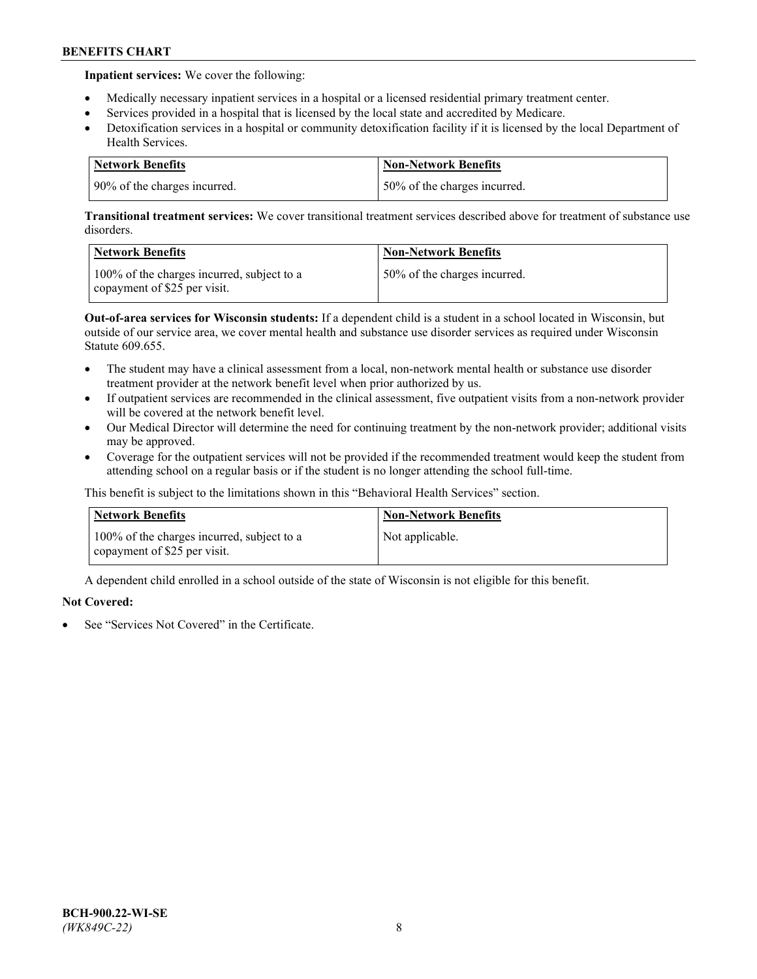**Inpatient services:** We cover the following:

- Medically necessary inpatient services in a hospital or a licensed residential primary treatment center.
- Services provided in a hospital that is licensed by the local state and accredited by Medicare.
- Detoxification services in a hospital or community detoxification facility if it is licensed by the local Department of Health Services.

| <b>Network Benefits</b>      | <b>Non-Network Benefits</b>  |
|------------------------------|------------------------------|
| 90% of the charges incurred. | 50% of the charges incurred. |

**Transitional treatment services:** We cover transitional treatment services described above for treatment of substance use disorders.

| Network Benefits                                                           | <b>Non-Network Benefits</b>  |
|----------------------------------------------------------------------------|------------------------------|
| 100% of the charges incurred, subject to a<br>copayment of \$25 per visit. | 50% of the charges incurred. |

**Out-of-area services for Wisconsin students:** If a dependent child is a student in a school located in Wisconsin, but outside of our service area, we cover mental health and substance use disorder services as required under Wisconsin Statute 609.655.

- The student may have a clinical assessment from a local, non-network mental health or substance use disorder treatment provider at the network benefit level when prior authorized by us.
- If outpatient services are recommended in the clinical assessment, five outpatient visits from a non-network provider will be covered at the network benefit level.
- Our Medical Director will determine the need for continuing treatment by the non-network provider; additional visits may be approved.
- Coverage for the outpatient services will not be provided if the recommended treatment would keep the student from attending school on a regular basis or if the student is no longer attending the school full-time.

This benefit is subject to the limitations shown in this "Behavioral Health Services" section.

| <b>Network Benefits</b>                                                    | <b>Non-Network Benefits</b> |
|----------------------------------------------------------------------------|-----------------------------|
| 100% of the charges incurred, subject to a<br>copayment of \$25 per visit. | Not applicable.             |

A dependent child enrolled in a school outside of the state of Wisconsin is not eligible for this benefit.

## **Not Covered:**

See "Services Not Covered" in the Certificate.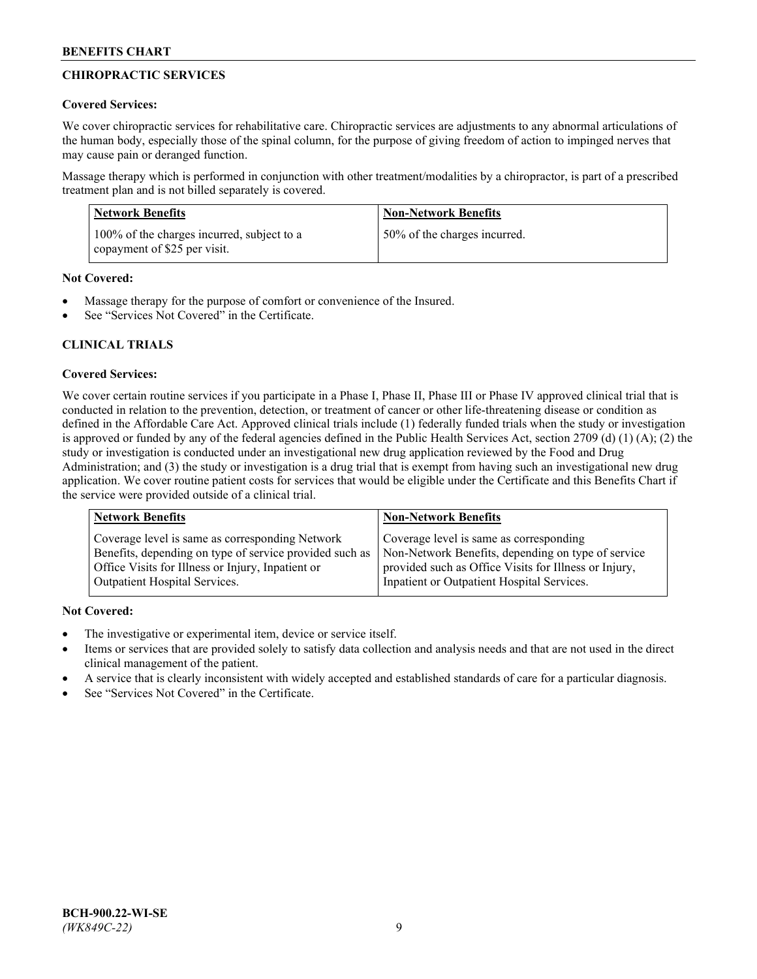# **CHIROPRACTIC SERVICES**

## **Covered Services:**

We cover chiropractic services for rehabilitative care. Chiropractic services are adjustments to any abnormal articulations of the human body, especially those of the spinal column, for the purpose of giving freedom of action to impinged nerves that may cause pain or deranged function.

Massage therapy which is performed in conjunction with other treatment/modalities by a chiropractor, is part of a prescribed treatment plan and is not billed separately is covered.

| Network Benefits                                                           | <b>Non-Network Benefits</b>  |
|----------------------------------------------------------------------------|------------------------------|
| 100% of the charges incurred, subject to a<br>copayment of \$25 per visit. | 50% of the charges incurred. |

**Not Covered:**

- Massage therapy for the purpose of comfort or convenience of the Insured.
- See "Services Not Covered" in the Certificate.

# **CLINICAL TRIALS**

# **Covered Services:**

We cover certain routine services if you participate in a Phase I, Phase II, Phase III or Phase IV approved clinical trial that is conducted in relation to the prevention, detection, or treatment of cancer or other life-threatening disease or condition as defined in the Affordable Care Act. Approved clinical trials include (1) federally funded trials when the study or investigation is approved or funded by any of the federal agencies defined in the Public Health Services Act, section 2709 (d) (1) (A); (2) the study or investigation is conducted under an investigational new drug application reviewed by the Food and Drug Administration; and (3) the study or investigation is a drug trial that is exempt from having such an investigational new drug application. We cover routine patient costs for services that would be eligible under the Certificate and this Benefits Chart if the service were provided outside of a clinical trial.

| <b>Network Benefits</b>                                 | <b>Non-Network Benefits</b>                           |
|---------------------------------------------------------|-------------------------------------------------------|
| Coverage level is same as corresponding Network         | Coverage level is same as corresponding               |
| Benefits, depending on type of service provided such as | Non-Network Benefits, depending on type of service    |
| Office Visits for Illness or Injury, Inpatient or       | provided such as Office Visits for Illness or Injury, |
| Outpatient Hospital Services.                           | Inpatient or Outpatient Hospital Services.            |

**Not Covered:**

- The investigative or experimental item, device or service itself.
- Items or services that are provided solely to satisfy data collection and analysis needs and that are not used in the direct clinical management of the patient.
- A service that is clearly inconsistent with widely accepted and established standards of care for a particular diagnosis.
- See "Services Not Covered" in the Certificate.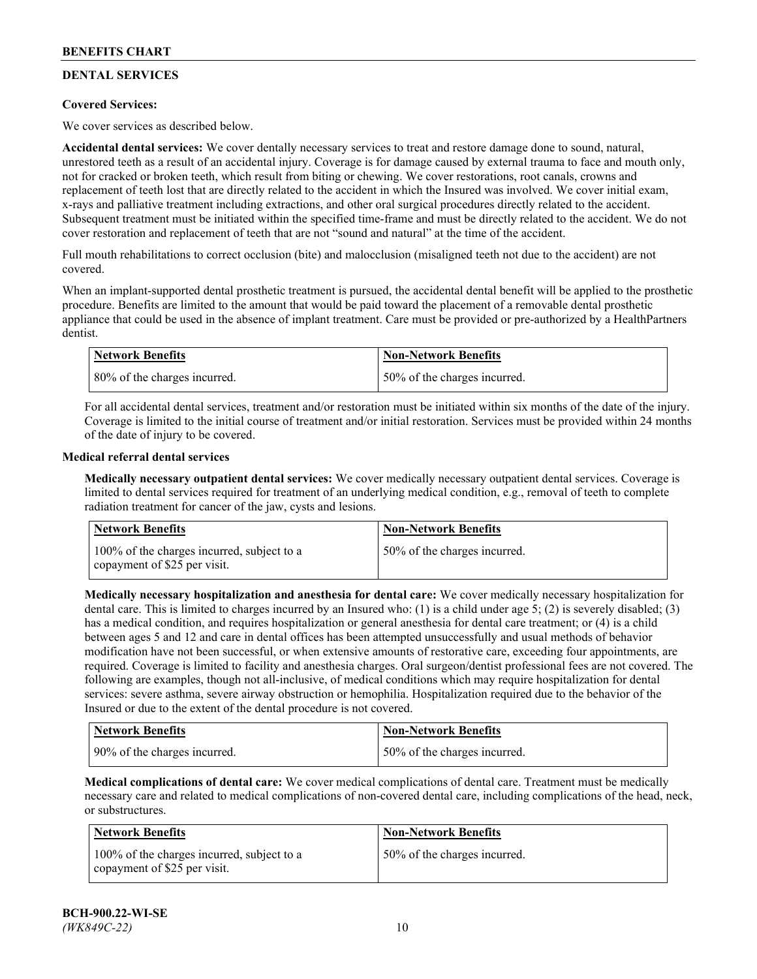# **DENTAL SERVICES**

## **Covered Services:**

We cover services as described below.

**Accidental dental services:** We cover dentally necessary services to treat and restore damage done to sound, natural, unrestored teeth as a result of an accidental injury. Coverage is for damage caused by external trauma to face and mouth only, not for cracked or broken teeth, which result from biting or chewing. We cover restorations, root canals, crowns and replacement of teeth lost that are directly related to the accident in which the Insured was involved. We cover initial exam, x-rays and palliative treatment including extractions, and other oral surgical procedures directly related to the accident. Subsequent treatment must be initiated within the specified time-frame and must be directly related to the accident. We do not cover restoration and replacement of teeth that are not "sound and natural" at the time of the accident.

Full mouth rehabilitations to correct occlusion (bite) and malocclusion (misaligned teeth not due to the accident) are not covered.

When an implant-supported dental prosthetic treatment is pursued, the accidental dental benefit will be applied to the prosthetic procedure. Benefits are limited to the amount that would be paid toward the placement of a removable dental prosthetic appliance that could be used in the absence of implant treatment. Care must be provided or pre-authorized by a HealthPartners dentist.

| Network Benefits             | <b>Non-Network Benefits</b>  |
|------------------------------|------------------------------|
| 80% of the charges incurred. | 50% of the charges incurred. |

For all accidental dental services, treatment and/or restoration must be initiated within six months of the date of the injury. Coverage is limited to the initial course of treatment and/or initial restoration. Services must be provided within 24 months of the date of injury to be covered.

#### **Medical referral dental services**

**Medically necessary outpatient dental services:** We cover medically necessary outpatient dental services. Coverage is limited to dental services required for treatment of an underlying medical condition, e.g., removal of teeth to complete radiation treatment for cancer of the jaw, cysts and lesions.

| Network Benefits                                                           | <b>Non-Network Benefits</b>  |
|----------------------------------------------------------------------------|------------------------------|
| 100% of the charges incurred, subject to a<br>copayment of \$25 per visit. | 50% of the charges incurred. |

**Medically necessary hospitalization and anesthesia for dental care:** We cover medically necessary hospitalization for dental care. This is limited to charges incurred by an Insured who: (1) is a child under age 5; (2) is severely disabled; (3) has a medical condition, and requires hospitalization or general anesthesia for dental care treatment; or (4) is a child between ages 5 and 12 and care in dental offices has been attempted unsuccessfully and usual methods of behavior modification have not been successful, or when extensive amounts of restorative care, exceeding four appointments, are required. Coverage is limited to facility and anesthesia charges. Oral surgeon/dentist professional fees are not covered. The following are examples, though not all-inclusive, of medical conditions which may require hospitalization for dental services: severe asthma, severe airway obstruction or hemophilia. Hospitalization required due to the behavior of the Insured or due to the extent of the dental procedure is not covered.

| <b>Network Benefits</b>      | <b>Non-Network Benefits</b>  |
|------------------------------|------------------------------|
| 90% of the charges incurred. | 50% of the charges incurred. |

**Medical complications of dental care:** We cover medical complications of dental care. Treatment must be medically necessary care and related to medical complications of non-covered dental care, including complications of the head, neck, or substructures.

| <b>Network Benefits</b>                                                    | <b>Non-Network Benefits</b>  |
|----------------------------------------------------------------------------|------------------------------|
| 100% of the charges incurred, subject to a<br>copayment of \$25 per visit. | 50% of the charges incurred. |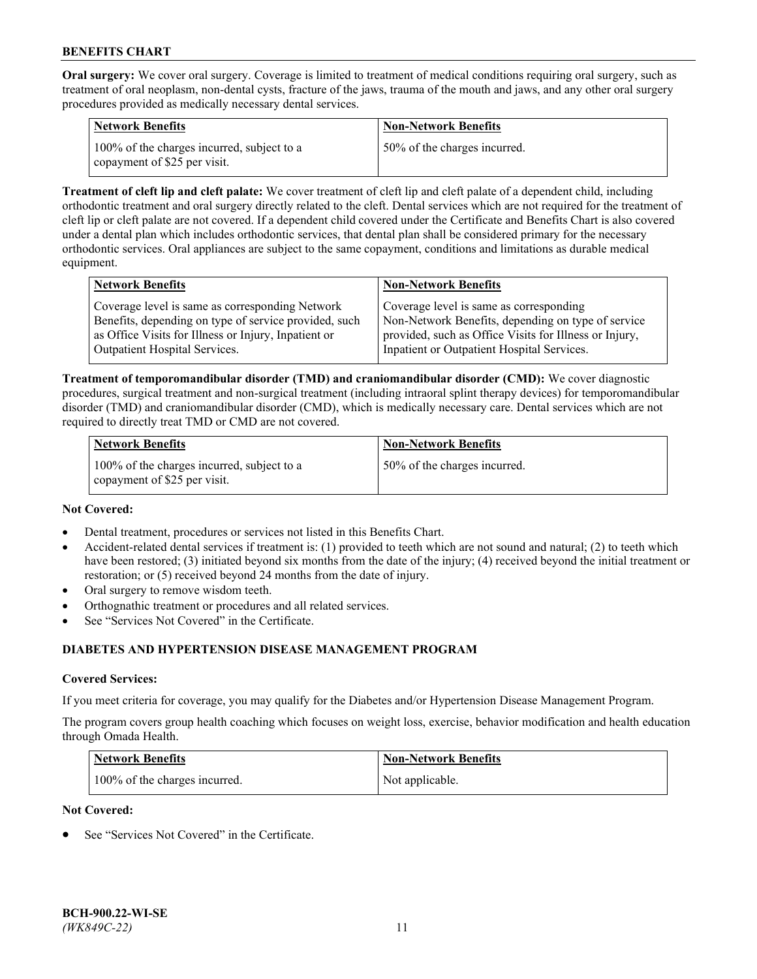**Oral surgery:** We cover oral surgery. Coverage is limited to treatment of medical conditions requiring oral surgery, such as treatment of oral neoplasm, non-dental cysts, fracture of the jaws, trauma of the mouth and jaws, and any other oral surgery procedures provided as medically necessary dental services.

| <b>Network Benefits</b>                                                    | <b>Non-Network Benefits</b>  |
|----------------------------------------------------------------------------|------------------------------|
| 100% of the charges incurred, subject to a<br>copayment of \$25 per visit. | 50% of the charges incurred. |

**Treatment of cleft lip and cleft palate:** We cover treatment of cleft lip and cleft palate of a dependent child, including orthodontic treatment and oral surgery directly related to the cleft. Dental services which are not required for the treatment of cleft lip or cleft palate are not covered. If a dependent child covered under the Certificate and Benefits Chart is also covered under a dental plan which includes orthodontic services, that dental plan shall be considered primary for the necessary orthodontic services. Oral appliances are subject to the same copayment, conditions and limitations as durable medical equipment.

| Coverage level is same as corresponding Network<br>Coverage level is same as corresponding<br>Non-Network Benefits, depending on type of service<br>Benefits, depending on type of service provided, such<br>as Office Visits for Illness or Injury, Inpatient or<br>provided, such as Office Visits for Illness or Injury,<br>Inpatient or Outpatient Hospital Services.<br>Outpatient Hospital Services. |  |
|------------------------------------------------------------------------------------------------------------------------------------------------------------------------------------------------------------------------------------------------------------------------------------------------------------------------------------------------------------------------------------------------------------|--|

**Treatment of temporomandibular disorder (TMD) and craniomandibular disorder (CMD):** We cover diagnostic procedures, surgical treatment and non-surgical treatment (including intraoral splint therapy devices) for temporomandibular disorder (TMD) and craniomandibular disorder (CMD), which is medically necessary care. Dental services which are not required to directly treat TMD or CMD are not covered.

| <b>Network Benefits</b>                                                    | <b>Non-Network Benefits</b>  |
|----------------------------------------------------------------------------|------------------------------|
| 100% of the charges incurred, subject to a<br>copayment of \$25 per visit. | 50% of the charges incurred. |

## **Not Covered:**

- Dental treatment, procedures or services not listed in this Benefits Chart.
- Accident-related dental services if treatment is: (1) provided to teeth which are not sound and natural; (2) to teeth which have been restored; (3) initiated beyond six months from the date of the injury; (4) received beyond the initial treatment or restoration; or (5) received beyond 24 months from the date of injury.
- Oral surgery to remove wisdom teeth.
- Orthognathic treatment or procedures and all related services.
- See "Services Not Covered" in the Certificate.

## **DIABETES AND HYPERTENSION DISEASE MANAGEMENT PROGRAM**

#### **Covered Services:**

If you meet criteria for coverage, you may qualify for the Diabetes and/or Hypertension Disease Management Program.

The program covers group health coaching which focuses on weight loss, exercise, behavior modification and health education through Omada Health.

| <b>Network Benefits</b>       | <b>Non-Network Benefits</b> |
|-------------------------------|-----------------------------|
| 100% of the charges incurred. | Not applicable.             |

#### **Not Covered:**

See "Services Not Covered" in the Certificate.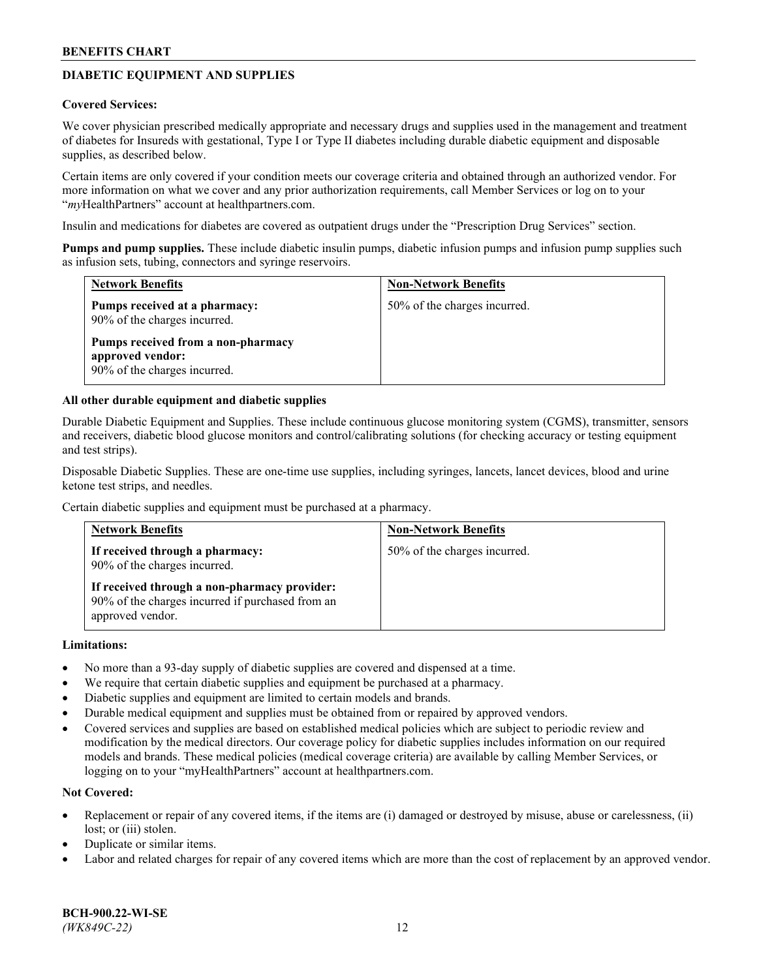# **DIABETIC EQUIPMENT AND SUPPLIES**

#### **Covered Services:**

We cover physician prescribed medically appropriate and necessary drugs and supplies used in the management and treatment of diabetes for Insureds with gestational, Type I or Type II diabetes including durable diabetic equipment and disposable supplies, as described below.

Certain items are only covered if your condition meets our coverage criteria and obtained through an authorized vendor. For more information on what we cover and any prior authorization requirements, call Member Services or log on to your "*my*HealthPartners" account at [healthpartners.com.](http://www.healthpartners.com/)

Insulin and medications for diabetes are covered as outpatient drugs under the "Prescription Drug Services" section.

**Pumps and pump supplies.** These include diabetic insulin pumps, diabetic infusion pumps and infusion pump supplies such as infusion sets, tubing, connectors and syringe reservoirs.

| <b>Network Benefits</b>                                                                | <b>Non-Network Benefits</b>  |
|----------------------------------------------------------------------------------------|------------------------------|
| Pumps received at a pharmacy:<br>90% of the charges incurred.                          | 50% of the charges incurred. |
| Pumps received from a non-pharmacy<br>approved vendor:<br>90% of the charges incurred. |                              |

#### **All other durable equipment and diabetic supplies**

Durable Diabetic Equipment and Supplies. These include continuous glucose monitoring system (CGMS), transmitter, sensors and receivers, diabetic blood glucose monitors and control/calibrating solutions (for checking accuracy or testing equipment and test strips).

Disposable Diabetic Supplies. These are one-time use supplies, including syringes, lancets, lancet devices, blood and urine ketone test strips, and needles.

Certain diabetic supplies and equipment must be purchased at a pharmacy.

| <b>Network Benefits</b>                                                                                              | <b>Non-Network Benefits</b>  |
|----------------------------------------------------------------------------------------------------------------------|------------------------------|
| If received through a pharmacy:<br>90% of the charges incurred.                                                      | 50% of the charges incurred. |
| If received through a non-pharmacy provider:<br>90% of the charges incurred if purchased from an<br>approved vendor. |                              |

#### **Limitations:**

- No more than a 93-day supply of diabetic supplies are covered and dispensed at a time.
- We require that certain diabetic supplies and equipment be purchased at a pharmacy.
- Diabetic supplies and equipment are limited to certain models and brands.
- Durable medical equipment and supplies must be obtained from or repaired by approved vendors.
- Covered services and supplies are based on established medical policies which are subject to periodic review and modification by the medical directors. Our coverage policy for diabetic supplies includes information on our required models and brands. These medical policies (medical coverage criteria) are available by calling Member Services, or logging on to your "myHealthPartners" account at [healthpartners.com.](http://www.healthpartners.com/)

## **Not Covered:**

- Replacement or repair of any covered items, if the items are (i) damaged or destroyed by misuse, abuse or carelessness, (ii) lost; or (iii) stolen.
- Duplicate or similar items.
- Labor and related charges for repair of any covered items which are more than the cost of replacement by an approved vendor.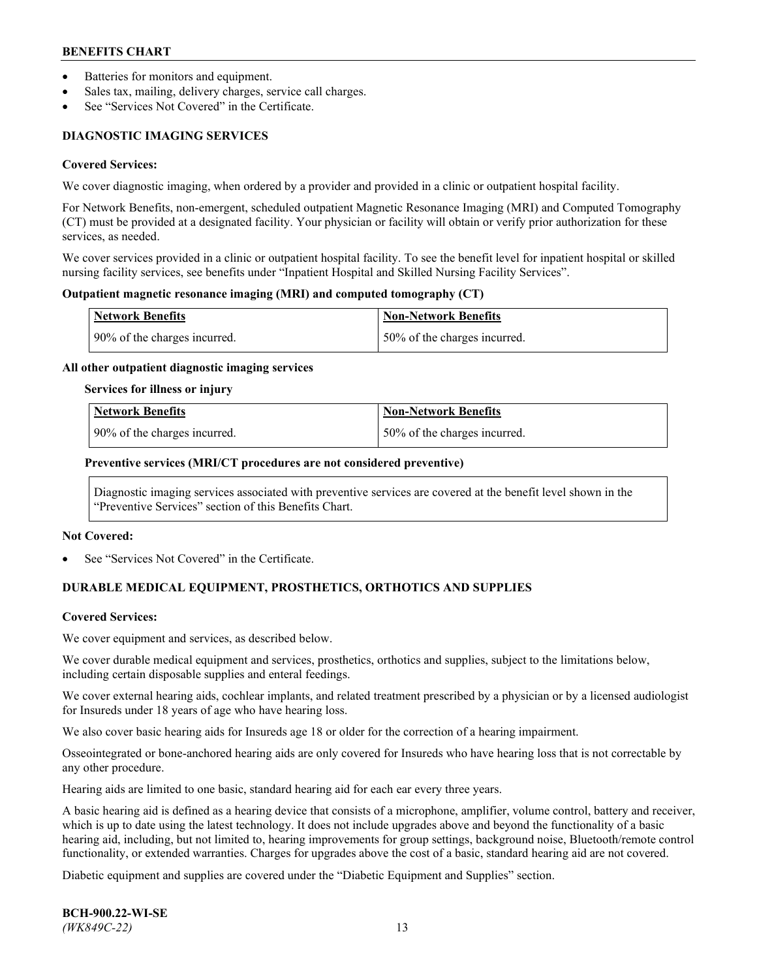- Batteries for monitors and equipment.
- Sales tax, mailing, delivery charges, service call charges.
- See "Services Not Covered" in the Certificate.

# **DIAGNOSTIC IMAGING SERVICES**

#### **Covered Services:**

We cover diagnostic imaging, when ordered by a provider and provided in a clinic or outpatient hospital facility.

For Network Benefits, non-emergent, scheduled outpatient Magnetic Resonance Imaging (MRI) and Computed Tomography (CT) must be provided at a designated facility. Your physician or facility will obtain or verify prior authorization for these services, as needed.

We cover services provided in a clinic or outpatient hospital facility. To see the benefit level for inpatient hospital or skilled nursing facility services, see benefits under "Inpatient Hospital and Skilled Nursing Facility Services".

#### **Outpatient magnetic resonance imaging (MRI) and computed tomography (CT)**

| <b>Network Benefits</b>      | <b>Non-Network Benefits</b>  |
|------------------------------|------------------------------|
| 90% of the charges incurred. | 50% of the charges incurred. |

#### **All other outpatient diagnostic imaging services**

#### **Services for illness or injury**

| <b>Network Benefits</b>      | <b>Non-Network Benefits</b>   |
|------------------------------|-------------------------------|
| 90% of the charges incurred. | 150% of the charges incurred. |

#### **Preventive services (MRI/CT procedures are not considered preventive)**

Diagnostic imaging services associated with preventive services are covered at the benefit level shown in the "Preventive Services" section of this Benefits Chart.

#### **Not Covered:**

See "Services Not Covered" in the Certificate.

# **DURABLE MEDICAL EQUIPMENT, PROSTHETICS, ORTHOTICS AND SUPPLIES**

#### **Covered Services:**

We cover equipment and services, as described below.

We cover durable medical equipment and services, prosthetics, orthotics and supplies, subject to the limitations below, including certain disposable supplies and enteral feedings.

We cover external hearing aids, cochlear implants, and related treatment prescribed by a physician or by a licensed audiologist for Insureds under 18 years of age who have hearing loss.

We also cover basic hearing aids for Insureds age 18 or older for the correction of a hearing impairment.

Osseointegrated or bone-anchored hearing aids are only covered for Insureds who have hearing loss that is not correctable by any other procedure.

Hearing aids are limited to one basic, standard hearing aid for each ear every three years.

A basic hearing aid is defined as a hearing device that consists of a microphone, amplifier, volume control, battery and receiver, which is up to date using the latest technology. It does not include upgrades above and beyond the functionality of a basic hearing aid, including, but not limited to, hearing improvements for group settings, background noise, Bluetooth/remote control functionality, or extended warranties. Charges for upgrades above the cost of a basic, standard hearing aid are not covered.

Diabetic equipment and supplies are covered under the "Diabetic Equipment and Supplies" section.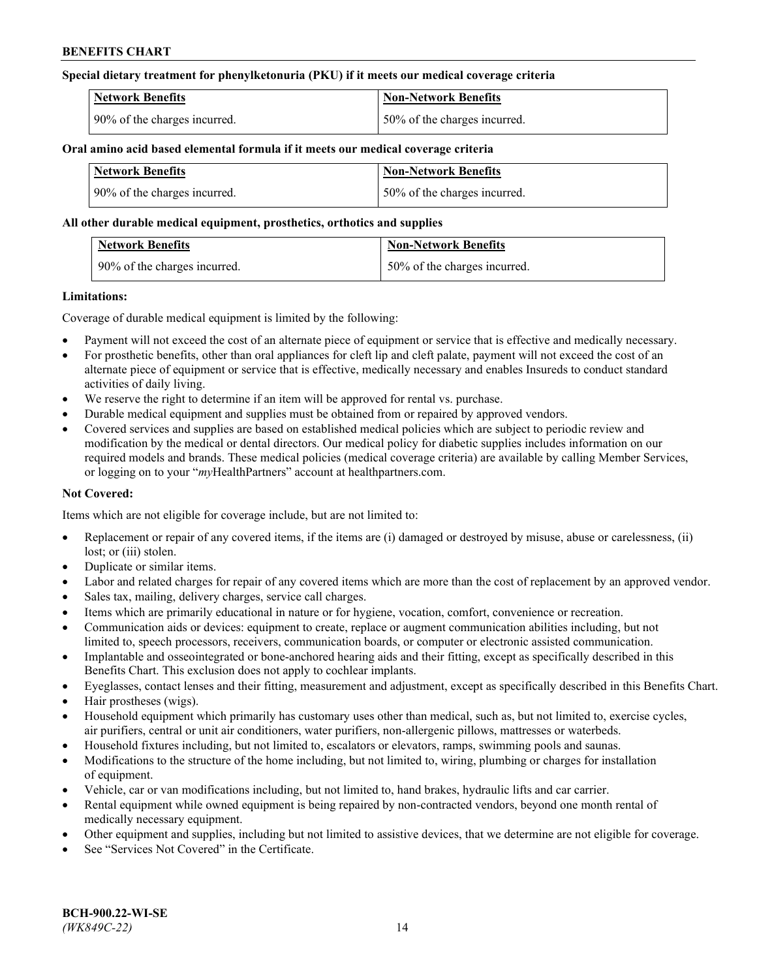# **Special dietary treatment for phenylketonuria (PKU) if it meets our medical coverage criteria**

| <b>Network Benefits</b>      | <b>Non-Network Benefits</b>  |
|------------------------------|------------------------------|
| 90% of the charges incurred. | 50% of the charges incurred. |

## **Oral amino acid based elemental formula if it meets our medical coverage criteria**

| Network Benefits             | Non-Network Benefits         |
|------------------------------|------------------------------|
| 90% of the charges incurred. | 50% of the charges incurred. |

## **All other durable medical equipment, prosthetics, orthotics and supplies**

| <b>Network Benefits</b>      | <b>Non-Network Benefits</b>  |
|------------------------------|------------------------------|
| 90% of the charges incurred. | 50% of the charges incurred. |

# **Limitations:**

Coverage of durable medical equipment is limited by the following:

- Payment will not exceed the cost of an alternate piece of equipment or service that is effective and medically necessary.
- For prosthetic benefits, other than oral appliances for cleft lip and cleft palate, payment will not exceed the cost of an alternate piece of equipment or service that is effective, medically necessary and enables Insureds to conduct standard activities of daily living.
- We reserve the right to determine if an item will be approved for rental vs. purchase.
- Durable medical equipment and supplies must be obtained from or repaired by approved vendors.
- Covered services and supplies are based on established medical policies which are subject to periodic review and modification by the medical or dental directors. Our medical policy for diabetic supplies includes information on our required models and brands. These medical policies (medical coverage criteria) are available by calling Member Services, or logging on to your "*my*HealthPartners" account a[t healthpartners.com.](http://www.healthpartners.com/)

# **Not Covered:**

Items which are not eligible for coverage include, but are not limited to:

- Replacement or repair of any covered items, if the items are (i) damaged or destroyed by misuse, abuse or carelessness, (ii) lost; or (iii) stolen.
- Duplicate or similar items.
- Labor and related charges for repair of any covered items which are more than the cost of replacement by an approved vendor.
- Sales tax, mailing, delivery charges, service call charges.
- Items which are primarily educational in nature or for hygiene, vocation, comfort, convenience or recreation.
- Communication aids or devices: equipment to create, replace or augment communication abilities including, but not limited to, speech processors, receivers, communication boards, or computer or electronic assisted communication.
- Implantable and osseointegrated or bone-anchored hearing aids and their fitting, except as specifically described in this Benefits Chart. This exclusion does not apply to cochlear implants.
- Eyeglasses, contact lenses and their fitting, measurement and adjustment, except as specifically described in this Benefits Chart.
- Hair prostheses (wigs).
- Household equipment which primarily has customary uses other than medical, such as, but not limited to, exercise cycles, air purifiers, central or unit air conditioners, water purifiers, non-allergenic pillows, mattresses or waterbeds.
- Household fixtures including, but not limited to, escalators or elevators, ramps, swimming pools and saunas.
- Modifications to the structure of the home including, but not limited to, wiring, plumbing or charges for installation of equipment.
- Vehicle, car or van modifications including, but not limited to, hand brakes, hydraulic lifts and car carrier.
- Rental equipment while owned equipment is being repaired by non-contracted vendors, beyond one month rental of medically necessary equipment.
- Other equipment and supplies, including but not limited to assistive devices, that we determine are not eligible for coverage.
- See "Services Not Covered" in the Certificate.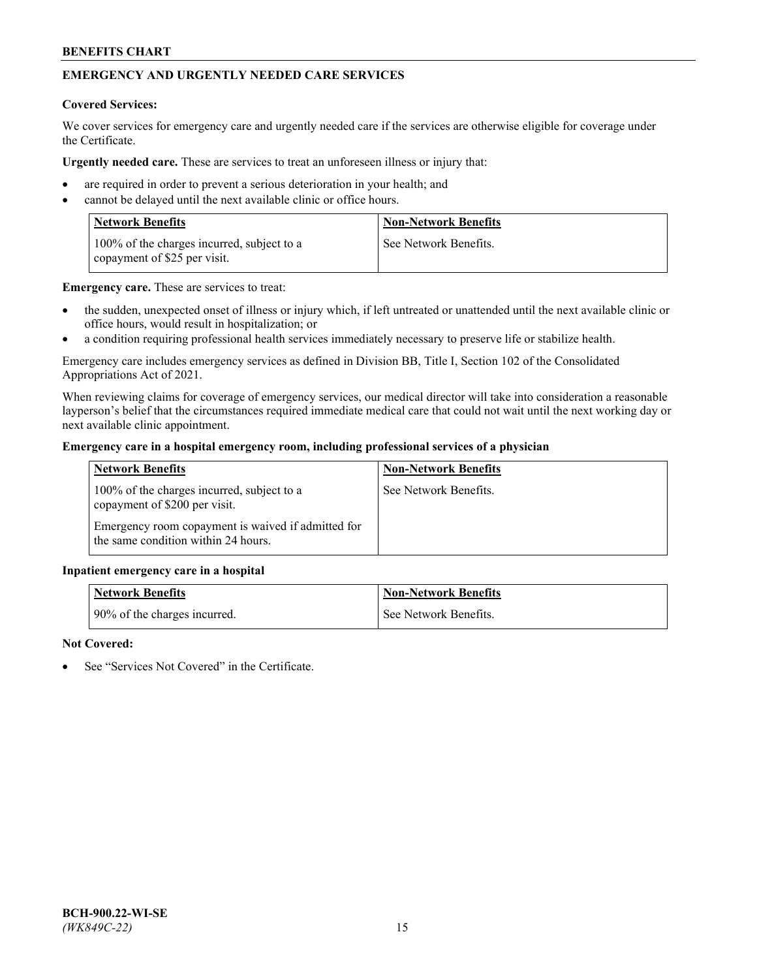# **EMERGENCY AND URGENTLY NEEDED CARE SERVICES**

#### **Covered Services:**

We cover services for emergency care and urgently needed care if the services are otherwise eligible for coverage under the Certificate.

**Urgently needed care.** These are services to treat an unforeseen illness or injury that:

- are required in order to prevent a serious deterioration in your health; and
- cannot be delayed until the next available clinic or office hours.

| <b>Network Benefits</b>                                                    | <b>Non-Network Benefits</b> |
|----------------------------------------------------------------------------|-----------------------------|
| 100% of the charges incurred, subject to a<br>copayment of \$25 per visit. | See Network Benefits.       |

**Emergency care.** These are services to treat:

- the sudden, unexpected onset of illness or injury which, if left untreated or unattended until the next available clinic or office hours, would result in hospitalization; or
- a condition requiring professional health services immediately necessary to preserve life or stabilize health.

Emergency care includes emergency services as defined in Division BB, Title I, Section 102 of the Consolidated Appropriations Act of 2021.

When reviewing claims for coverage of emergency services, our medical director will take into consideration a reasonable layperson's belief that the circumstances required immediate medical care that could not wait until the next working day or next available clinic appointment.

#### **Emergency care in a hospital emergency room, including professional services of a physician**

| <b>Network Benefits</b>                                                                   | <b>Non-Network Benefits</b> |
|-------------------------------------------------------------------------------------------|-----------------------------|
| 100% of the charges incurred, subject to a<br>copayment of \$200 per visit.               | See Network Benefits.       |
| Emergency room copayment is waived if admitted for<br>the same condition within 24 hours. |                             |

#### **Inpatient emergency care in a hospital**

| <b>Network Benefits</b>      | Non-Network Benefits  |
|------------------------------|-----------------------|
| 90% of the charges incurred. | See Network Benefits. |

#### **Not Covered:**

See "Services Not Covered" in the Certificate.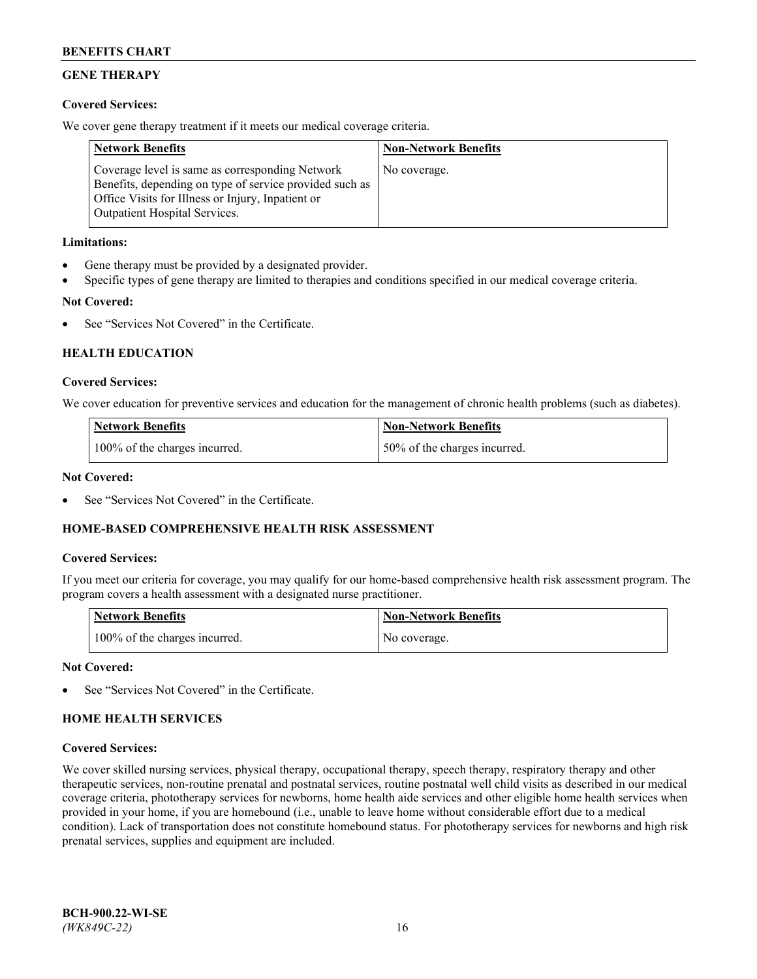# **GENE THERAPY**

# **Covered Services:**

We cover gene therapy treatment if it meets our medical coverage criteria.

| <b>Network Benefits</b>                                                                                                                                                                                 | <b>Non-Network Benefits</b> |
|---------------------------------------------------------------------------------------------------------------------------------------------------------------------------------------------------------|-----------------------------|
| Coverage level is same as corresponding Network<br>Benefits, depending on type of service provided such as<br>Office Visits for Illness or Injury, Inpatient or<br><b>Outpatient Hospital Services.</b> | No coverage.                |

## **Limitations:**

- Gene therapy must be provided by a designated provider.
- Specific types of gene therapy are limited to therapies and conditions specified in our medical coverage criteria.

## **Not Covered:**

See "Services Not Covered" in the Certificate.

# **HEALTH EDUCATION**

#### **Covered Services:**

We cover education for preventive services and education for the management of chronic health problems (such as diabetes).

| <b>Network Benefits</b>       | Non-Network Benefits         |
|-------------------------------|------------------------------|
| 100% of the charges incurred. | 50% of the charges incurred. |

## **Not Covered:**

See "Services Not Covered" in the Certificate.

## **HOME-BASED COMPREHENSIVE HEALTH RISK ASSESSMENT**

## **Covered Services:**

If you meet our criteria for coverage, you may qualify for our home-based comprehensive health risk assessment program. The program covers a health assessment with a designated nurse practitioner.

| <b>Network Benefits</b>       | <b>Non-Network Benefits</b> |
|-------------------------------|-----------------------------|
| 100% of the charges incurred. | No coverage.                |

## **Not Covered:**

See "Services Not Covered" in the Certificate.

## **HOME HEALTH SERVICES**

## **Covered Services:**

We cover skilled nursing services, physical therapy, occupational therapy, speech therapy, respiratory therapy and other therapeutic services, non-routine prenatal and postnatal services, routine postnatal well child visits as described in our medical coverage criteria, phototherapy services for newborns, home health aide services and other eligible home health services when provided in your home, if you are homebound (i.e., unable to leave home without considerable effort due to a medical condition). Lack of transportation does not constitute homebound status. For phototherapy services for newborns and high risk prenatal services, supplies and equipment are included.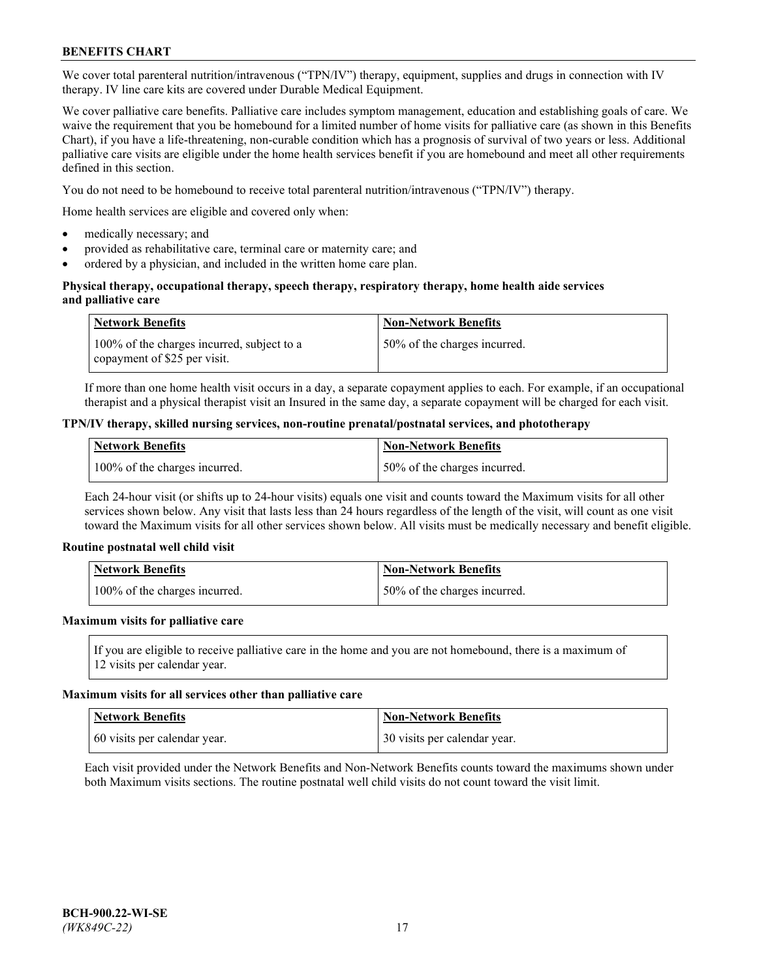We cover total parenteral nutrition/intravenous ("TPN/IV") therapy, equipment, supplies and drugs in connection with IV therapy. IV line care kits are covered under Durable Medical Equipment.

We cover palliative care benefits. Palliative care includes symptom management, education and establishing goals of care. We waive the requirement that you be homebound for a limited number of home visits for palliative care (as shown in this Benefits Chart), if you have a life-threatening, non-curable condition which has a prognosis of survival of two years or less. Additional palliative care visits are eligible under the home health services benefit if you are homebound and meet all other requirements defined in this section.

You do not need to be homebound to receive total parenteral nutrition/intravenous ("TPN/IV") therapy.

Home health services are eligible and covered only when:

- medically necessary; and
- provided as rehabilitative care, terminal care or maternity care; and
- ordered by a physician, and included in the written home care plan.

#### **Physical therapy, occupational therapy, speech therapy, respiratory therapy, home health aide services and palliative care**

| Network Benefits                                                           | <b>Non-Network Benefits</b>  |
|----------------------------------------------------------------------------|------------------------------|
| 100% of the charges incurred, subject to a<br>copayment of \$25 per visit. | 50% of the charges incurred. |

If more than one home health visit occurs in a day, a separate copayment applies to each. For example, if an occupational therapist and a physical therapist visit an Insured in the same day, a separate copayment will be charged for each visit.

#### **TPN/IV therapy, skilled nursing services, non-routine prenatal/postnatal services, and phototherapy**

| <b>Network Benefits</b>       | <b>Non-Network Benefits</b>  |
|-------------------------------|------------------------------|
| 100% of the charges incurred. | 50% of the charges incurred. |

Each 24-hour visit (or shifts up to 24-hour visits) equals one visit and counts toward the Maximum visits for all other services shown below. Any visit that lasts less than 24 hours regardless of the length of the visit, will count as one visit toward the Maximum visits for all other services shown below. All visits must be medically necessary and benefit eligible.

#### **Routine postnatal well child visit**

| <b>Network Benefits</b>       | <b>Non-Network Benefits</b>  |
|-------------------------------|------------------------------|
| 100% of the charges incurred. | 50% of the charges incurred. |

#### **Maximum visits for palliative care**

If you are eligible to receive palliative care in the home and you are not homebound, there is a maximum of 12 visits per calendar year.

#### **Maximum visits for all services other than palliative care**

| <b>Network Benefits</b>      | Non-Network Benefits         |
|------------------------------|------------------------------|
| 60 visits per calendar year. | 30 visits per calendar year. |

Each visit provided under the Network Benefits and Non-Network Benefits counts toward the maximums shown under both Maximum visits sections. The routine postnatal well child visits do not count toward the visit limit.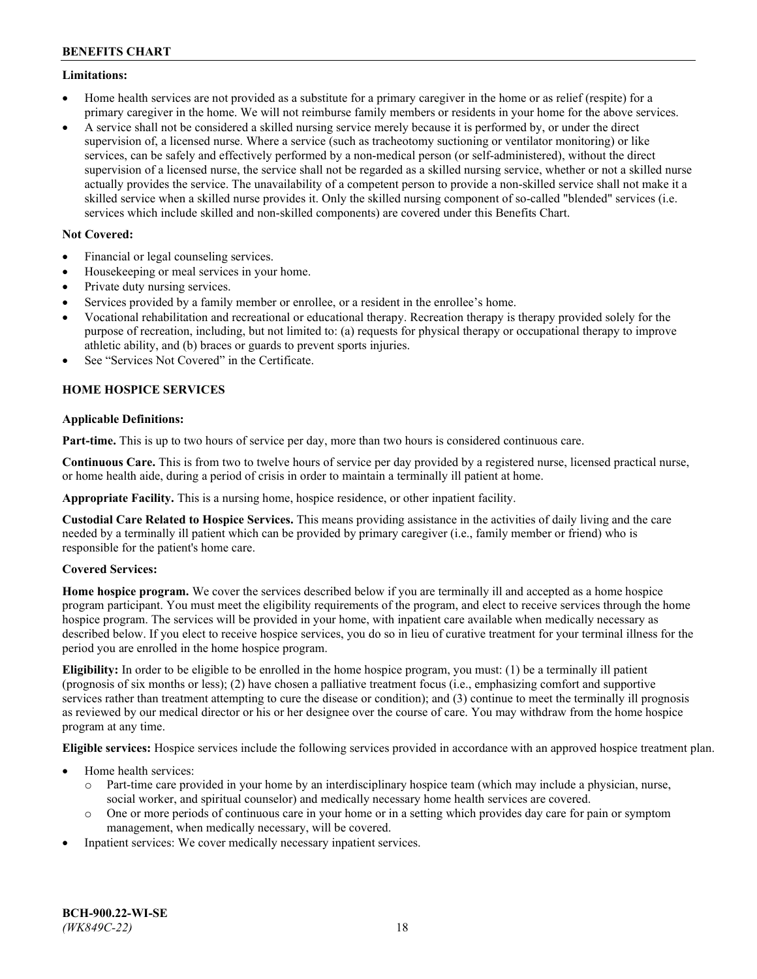#### **Limitations:**

- Home health services are not provided as a substitute for a primary caregiver in the home or as relief (respite) for a primary caregiver in the home. We will not reimburse family members or residents in your home for the above services.
- A service shall not be considered a skilled nursing service merely because it is performed by, or under the direct supervision of, a licensed nurse. Where a service (such as tracheotomy suctioning or ventilator monitoring) or like services, can be safely and effectively performed by a non-medical person (or self-administered), without the direct supervision of a licensed nurse, the service shall not be regarded as a skilled nursing service, whether or not a skilled nurse actually provides the service. The unavailability of a competent person to provide a non-skilled service shall not make it a skilled service when a skilled nurse provides it. Only the skilled nursing component of so-called "blended" services (i.e. services which include skilled and non-skilled components) are covered under this Benefits Chart.

## **Not Covered:**

- Financial or legal counseling services.
- Housekeeping or meal services in your home.
- Private duty nursing services.
- Services provided by a family member or enrollee, or a resident in the enrollee's home.
- Vocational rehabilitation and recreational or educational therapy. Recreation therapy is therapy provided solely for the purpose of recreation, including, but not limited to: (a) requests for physical therapy or occupational therapy to improve athletic ability, and (b) braces or guards to prevent sports injuries.
- See "Services Not Covered" in the Certificate.

# **HOME HOSPICE SERVICES**

## **Applicable Definitions:**

**Part-time.** This is up to two hours of service per day, more than two hours is considered continuous care.

**Continuous Care.** This is from two to twelve hours of service per day provided by a registered nurse, licensed practical nurse, or home health aide, during a period of crisis in order to maintain a terminally ill patient at home.

**Appropriate Facility.** This is a nursing home, hospice residence, or other inpatient facility.

**Custodial Care Related to Hospice Services.** This means providing assistance in the activities of daily living and the care needed by a terminally ill patient which can be provided by primary caregiver (i.e., family member or friend) who is responsible for the patient's home care.

## **Covered Services:**

**Home hospice program.** We cover the services described below if you are terminally ill and accepted as a home hospice program participant. You must meet the eligibility requirements of the program, and elect to receive services through the home hospice program. The services will be provided in your home, with inpatient care available when medically necessary as described below. If you elect to receive hospice services, you do so in lieu of curative treatment for your terminal illness for the period you are enrolled in the home hospice program.

**Eligibility:** In order to be eligible to be enrolled in the home hospice program, you must: (1) be a terminally ill patient (prognosis of six months or less); (2) have chosen a palliative treatment focus (i.e., emphasizing comfort and supportive services rather than treatment attempting to cure the disease or condition); and (3) continue to meet the terminally ill prognosis as reviewed by our medical director or his or her designee over the course of care. You may withdraw from the home hospice program at any time.

**Eligible services:** Hospice services include the following services provided in accordance with an approved hospice treatment plan.

- Home health services:
	- o Part-time care provided in your home by an interdisciplinary hospice team (which may include a physician, nurse, social worker, and spiritual counselor) and medically necessary home health services are covered.
	- o One or more periods of continuous care in your home or in a setting which provides day care for pain or symptom management, when medically necessary, will be covered.
- Inpatient services: We cover medically necessary inpatient services.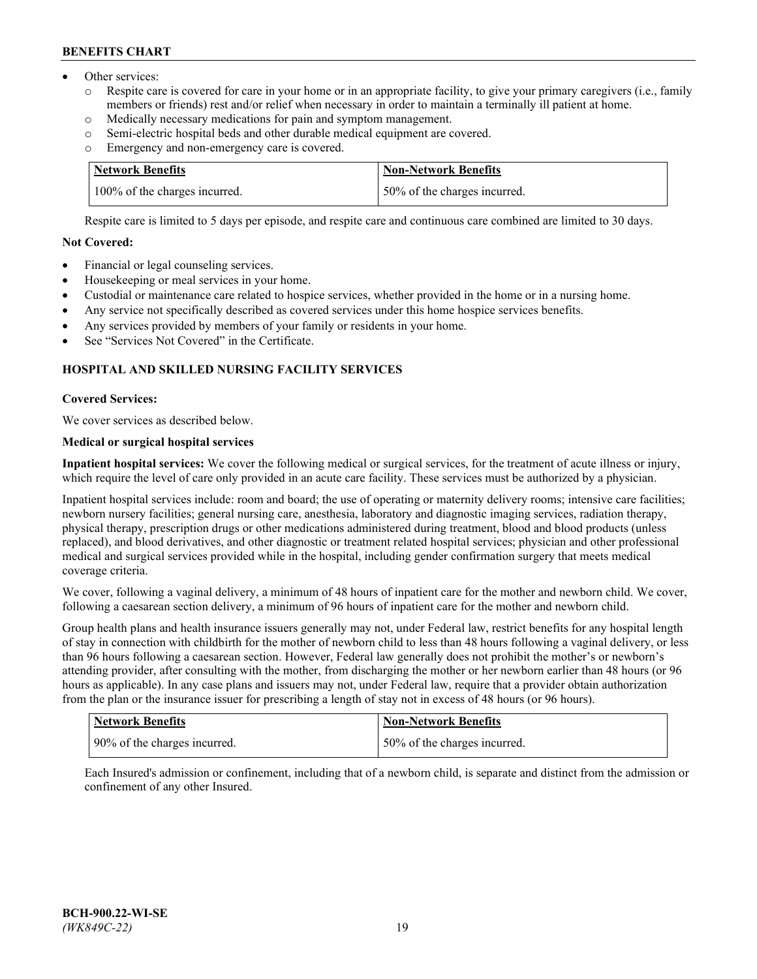- Other services:
	- Respite care is covered for care in your home or in an appropriate facility, to give your primary caregivers (i.e., family members or friends) rest and/or relief when necessary in order to maintain a terminally ill patient at home.
	- o Medically necessary medications for pain and symptom management.
	- o Semi-electric hospital beds and other durable medical equipment are covered.
	- Emergency and non-emergency care is covered.

| <b>Network Benefits</b>       | Non-Network Benefits         |
|-------------------------------|------------------------------|
| 100% of the charges incurred. | 50% of the charges incurred. |

Respite care is limited to 5 days per episode, and respite care and continuous care combined are limited to 30 days.

#### **Not Covered:**

- Financial or legal counseling services.
- Housekeeping or meal services in your home.
- Custodial or maintenance care related to hospice services, whether provided in the home or in a nursing home.
- Any service not specifically described as covered services under this home hospice services benefits.
- Any services provided by members of your family or residents in your home.
- See "Services Not Covered" in the Certificate.

## **HOSPITAL AND SKILLED NURSING FACILITY SERVICES**

#### **Covered Services:**

We cover services as described below.

# **Medical or surgical hospital services**

**Inpatient hospital services:** We cover the following medical or surgical services, for the treatment of acute illness or injury, which require the level of care only provided in an acute care facility. These services must be authorized by a physician.

Inpatient hospital services include: room and board; the use of operating or maternity delivery rooms; intensive care facilities; newborn nursery facilities; general nursing care, anesthesia, laboratory and diagnostic imaging services, radiation therapy, physical therapy, prescription drugs or other medications administered during treatment, blood and blood products (unless replaced), and blood derivatives, and other diagnostic or treatment related hospital services; physician and other professional medical and surgical services provided while in the hospital, including gender confirmation surgery that meets medical coverage criteria.

We cover, following a vaginal delivery, a minimum of 48 hours of inpatient care for the mother and newborn child. We cover, following a caesarean section delivery, a minimum of 96 hours of inpatient care for the mother and newborn child.

Group health plans and health insurance issuers generally may not, under Federal law, restrict benefits for any hospital length of stay in connection with childbirth for the mother of newborn child to less than 48 hours following a vaginal delivery, or less than 96 hours following a caesarean section. However, Federal law generally does not prohibit the mother's or newborn's attending provider, after consulting with the mother, from discharging the mother or her newborn earlier than 48 hours (or 96 hours as applicable). In any case plans and issuers may not, under Federal law, require that a provider obtain authorization from the plan or the insurance issuer for prescribing a length of stay not in excess of 48 hours (or 96 hours).

| <b>Network Benefits</b>        | <b>Non-Network Benefits</b>  |
|--------------------------------|------------------------------|
| 1 90% of the charges incurred. | 50% of the charges incurred. |

Each Insured's admission or confinement, including that of a newborn child, is separate and distinct from the admission or confinement of any other Insured.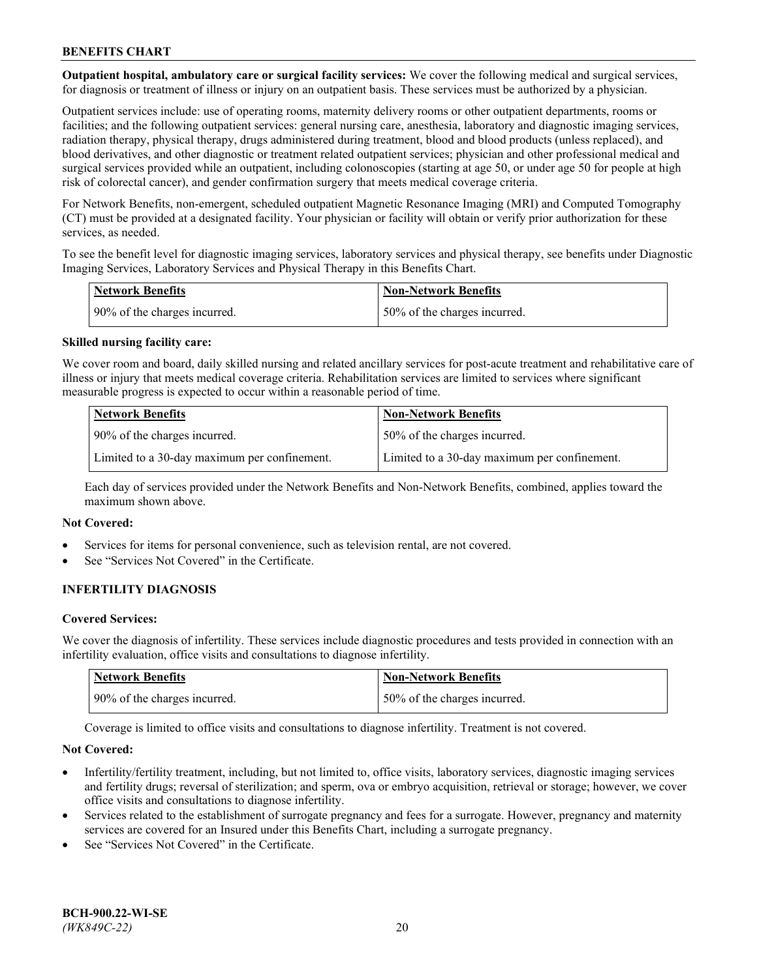**Outpatient hospital, ambulatory care or surgical facility services:** We cover the following medical and surgical services, for diagnosis or treatment of illness or injury on an outpatient basis. These services must be authorized by a physician.

Outpatient services include: use of operating rooms, maternity delivery rooms or other outpatient departments, rooms or facilities; and the following outpatient services: general nursing care, anesthesia, laboratory and diagnostic imaging services, radiation therapy, physical therapy, drugs administered during treatment, blood and blood products (unless replaced), and blood derivatives, and other diagnostic or treatment related outpatient services; physician and other professional medical and surgical services provided while an outpatient, including colonoscopies (starting at age 50, or under age 50 for people at high risk of colorectal cancer), and gender confirmation surgery that meets medical coverage criteria.

For Network Benefits, non-emergent, scheduled outpatient Magnetic Resonance Imaging (MRI) and Computed Tomography (CT) must be provided at a designated facility. Your physician or facility will obtain or verify prior authorization for these services, as needed.

To see the benefit level for diagnostic imaging services, laboratory services and physical therapy, see benefits under Diagnostic Imaging Services, Laboratory Services and Physical Therapy in this Benefits Chart.

| <b>Network Benefits</b>      | <b>Non-Network Benefits</b>  |
|------------------------------|------------------------------|
| 90% of the charges incurred. | 50% of the charges incurred. |

#### **Skilled nursing facility care:**

We cover room and board, daily skilled nursing and related ancillary services for post-acute treatment and rehabilitative care of illness or injury that meets medical coverage criteria. Rehabilitation services are limited to services where significant measurable progress is expected to occur within a reasonable period of time.

| <b>Network Benefits</b>                      | <b>Non-Network Benefits</b>                  |
|----------------------------------------------|----------------------------------------------|
| 90% of the charges incurred.                 | 50% of the charges incurred.                 |
| Limited to a 30-day maximum per confinement. | Limited to a 30-day maximum per confinement. |

Each day of services provided under the Network Benefits and Non-Network Benefits, combined, applies toward the maximum shown above.

## **Not Covered:**

- Services for items for personal convenience, such as television rental, are not covered.
- See "Services Not Covered" in the Certificate.

## **INFERTILITY DIAGNOSIS**

#### **Covered Services:**

We cover the diagnosis of infertility. These services include diagnostic procedures and tests provided in connection with an infertility evaluation, office visits and consultations to diagnose infertility.

| Network Benefits             | <b>Non-Network Benefits</b>  |
|------------------------------|------------------------------|
| 90% of the charges incurred. | 50% of the charges incurred. |

Coverage is limited to office visits and consultations to diagnose infertility. Treatment is not covered.

#### **Not Covered:**

- Infertility/fertility treatment, including, but not limited to, office visits, laboratory services, diagnostic imaging services and fertility drugs; reversal of sterilization; and sperm, ova or embryo acquisition, retrieval or storage; however, we cover office visits and consultations to diagnose infertility.
- Services related to the establishment of surrogate pregnancy and fees for a surrogate. However, pregnancy and maternity services are covered for an Insured under this Benefits Chart, including a surrogate pregnancy.
- See "Services Not Covered" in the Certificate.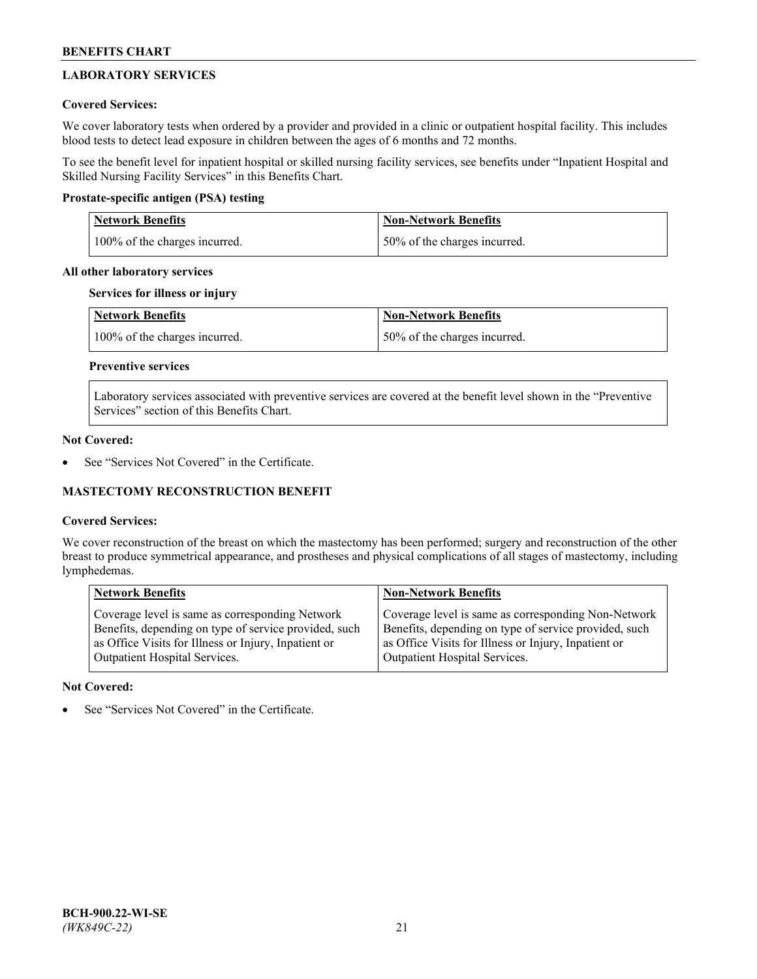# **LABORATORY SERVICES**

## **Covered Services:**

We cover laboratory tests when ordered by a provider and provided in a clinic or outpatient hospital facility. This includes blood tests to detect lead exposure in children between the ages of 6 months and 72 months.

To see the benefit level for inpatient hospital or skilled nursing facility services, see benefits under "Inpatient Hospital and Skilled Nursing Facility Services" in this Benefits Chart.

# **Prostate-specific antigen (PSA) testing**

| <b>Network Benefits</b>       | <b>Non-Network Benefits</b>  |
|-------------------------------|------------------------------|
| 100% of the charges incurred. | 50% of the charges incurred. |

## **All other laboratory services**

## **Services for illness or injury**

| Network Benefits              | <b>Non-Network Benefits</b>  |
|-------------------------------|------------------------------|
| 100% of the charges incurred. | 50% of the charges incurred. |

# **Preventive services**

Laboratory services associated with preventive services are covered at the benefit level shown in the "Preventive Services" section of this Benefits Chart.

#### **Not Covered:**

See "Services Not Covered" in the Certificate.

## **MASTECTOMY RECONSTRUCTION BENEFIT**

## **Covered Services:**

We cover reconstruction of the breast on which the mastectomy has been performed; surgery and reconstruction of the other breast to produce symmetrical appearance, and prostheses and physical complications of all stages of mastectomy, including lymphedemas.

| <b>Network Benefits</b>                               | <b>Non-Network Benefits</b>                           |
|-------------------------------------------------------|-------------------------------------------------------|
| Coverage level is same as corresponding Network       | Coverage level is same as corresponding Non-Network   |
| Benefits, depending on type of service provided, such | Benefits, depending on type of service provided, such |
| as Office Visits for Illness or Injury, Inpatient or  | as Office Visits for Illness or Injury, Inpatient or  |
| Outpatient Hospital Services.                         | Outpatient Hospital Services.                         |

## **Not Covered:**

See "Services Not Covered" in the Certificate.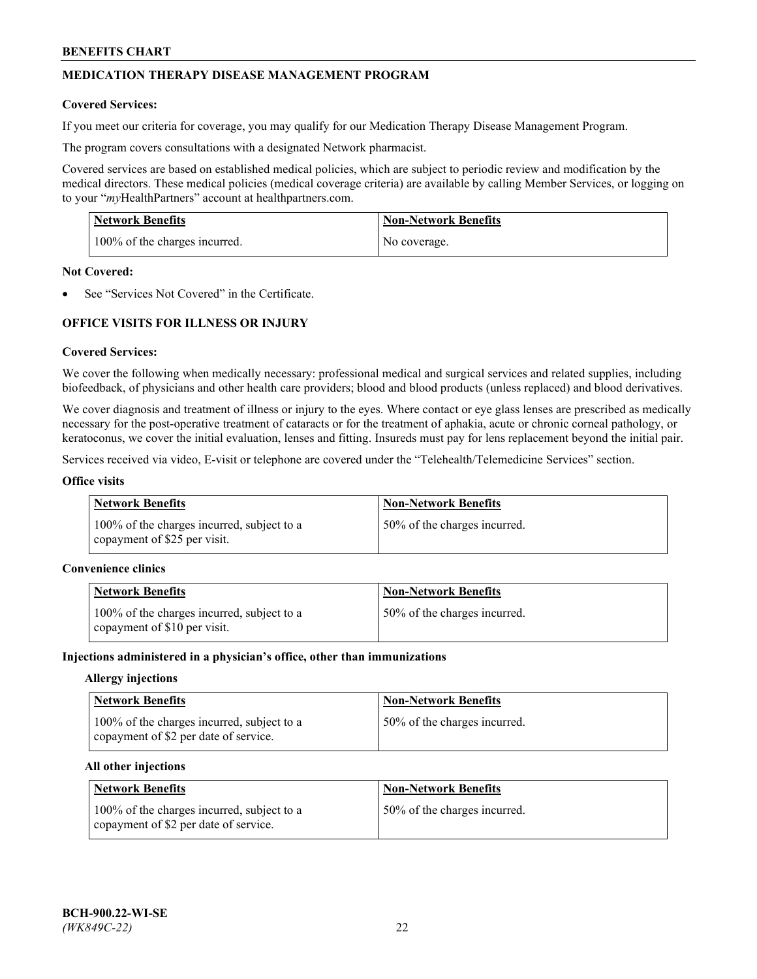# **MEDICATION THERAPY DISEASE MANAGEMENT PROGRAM**

#### **Covered Services:**

If you meet our criteria for coverage, you may qualify for our Medication Therapy Disease Management Program.

The program covers consultations with a designated Network pharmacist.

Covered services are based on established medical policies, which are subject to periodic review and modification by the medical directors. These medical policies (medical coverage criteria) are available by calling Member Services, or logging on to your "*my*HealthPartners" account at [healthpartners.com.](http://www.healthpartners.com/)

| <b>Network Benefits</b>       | <b>Non-Network Benefits</b> |
|-------------------------------|-----------------------------|
| 100% of the charges incurred. | No coverage.                |

#### **Not Covered:**

See "Services Not Covered" in the Certificate.

# **OFFICE VISITS FOR ILLNESS OR INJURY**

#### **Covered Services:**

We cover the following when medically necessary: professional medical and surgical services and related supplies, including biofeedback, of physicians and other health care providers; blood and blood products (unless replaced) and blood derivatives.

We cover diagnosis and treatment of illness or injury to the eyes. Where contact or eye glass lenses are prescribed as medically necessary for the post-operative treatment of cataracts or for the treatment of aphakia, acute or chronic corneal pathology, or keratoconus, we cover the initial evaluation, lenses and fitting. Insureds must pay for lens replacement beyond the initial pair.

Services received via video, E-visit or telephone are covered under the "Telehealth/Telemedicine Services" section.

#### **Office visits**

| <b>Network Benefits</b>                                                    | <b>Non-Network Benefits</b>  |
|----------------------------------------------------------------------------|------------------------------|
| 100% of the charges incurred, subject to a<br>copayment of \$25 per visit. | 50% of the charges incurred. |

#### **Convenience clinics**

| <b>Network Benefits</b>                                                    | <b>Non-Network Benefits</b>  |
|----------------------------------------------------------------------------|------------------------------|
| 100% of the charges incurred, subject to a<br>copayment of \$10 per visit. | 50% of the charges incurred. |

#### **Injections administered in a physician's office, other than immunizations**

#### **Allergy injections**

| <b>Network Benefits</b>                                                             | <b>Non-Network Benefits</b>  |
|-------------------------------------------------------------------------------------|------------------------------|
| 100% of the charges incurred, subject to a<br>copayment of \$2 per date of service. | 50% of the charges incurred. |

#### **All other injections**

| Network Benefits                                                                    | <b>Non-Network Benefits</b>  |
|-------------------------------------------------------------------------------------|------------------------------|
| 100% of the charges incurred, subject to a<br>copayment of \$2 per date of service. | 50% of the charges incurred. |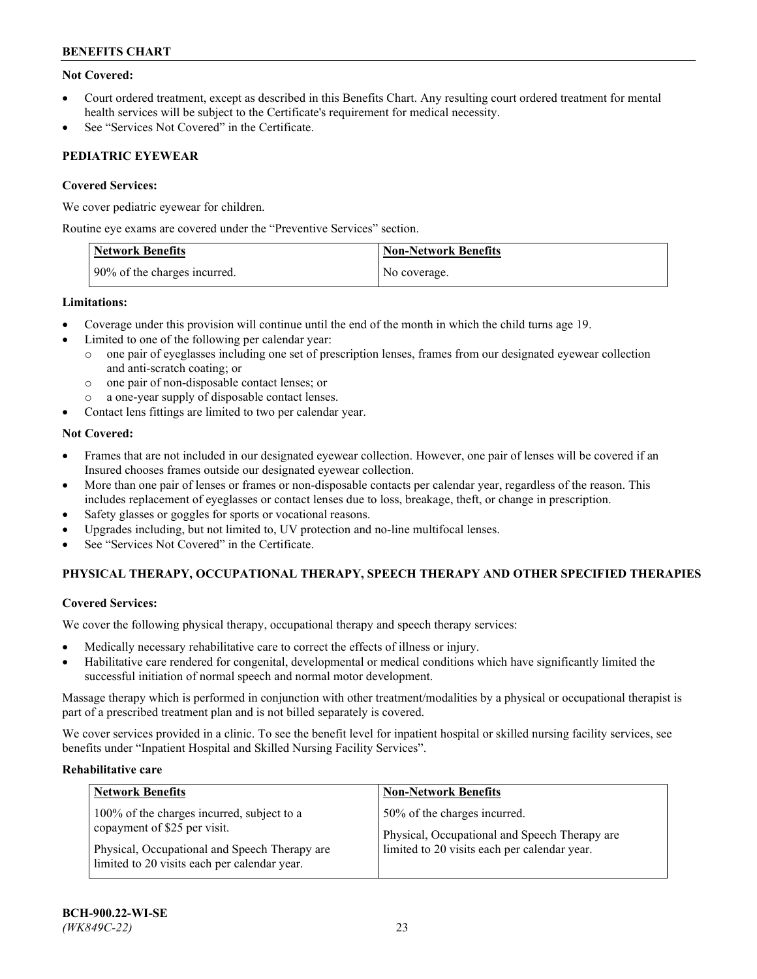# **Not Covered:**

- Court ordered treatment, except as described in this Benefits Chart. Any resulting court ordered treatment for mental health services will be subject to the Certificate's requirement for medical necessity.
- See "Services Not Covered" in the Certificate.

# **PEDIATRIC EYEWEAR**

# **Covered Services:**

We cover pediatric eyewear for children.

Routine eye exams are covered under the "Preventive Services" section.

| Network Benefits             | <b>Non-Network Benefits</b> |
|------------------------------|-----------------------------|
| 90% of the charges incurred. | No coverage.                |

## **Limitations:**

- Coverage under this provision will continue until the end of the month in which the child turns age 19.
- Limited to one of the following per calendar year:
	- o one pair of eyeglasses including one set of prescription lenses, frames from our designated eyewear collection and anti-scratch coating; or
	- o one pair of non-disposable contact lenses; or
	- a one-year supply of disposable contact lenses.
- Contact lens fittings are limited to two per calendar year.

# **Not Covered:**

- Frames that are not included in our designated eyewear collection. However, one pair of lenses will be covered if an Insured chooses frames outside our designated eyewear collection.
- More than one pair of lenses or frames or non-disposable contacts per calendar year, regardless of the reason. This includes replacement of eyeglasses or contact lenses due to loss, breakage, theft, or change in prescription.
- Safety glasses or goggles for sports or vocational reasons.
- Upgrades including, but not limited to, UV protection and no-line multifocal lenses.
- See "Services Not Covered" in the Certificate.

# **PHYSICAL THERAPY, OCCUPATIONAL THERAPY, SPEECH THERAPY AND OTHER SPECIFIED THERAPIES**

# **Covered Services:**

We cover the following physical therapy, occupational therapy and speech therapy services:

- Medically necessary rehabilitative care to correct the effects of illness or injury.
- Habilitative care rendered for congenital, developmental or medical conditions which have significantly limited the successful initiation of normal speech and normal motor development.

Massage therapy which is performed in conjunction with other treatment/modalities by a physical or occupational therapist is part of a prescribed treatment plan and is not billed separately is covered.

We cover services provided in a clinic. To see the benefit level for inpatient hospital or skilled nursing facility services, see benefits under "Inpatient Hospital and Skilled Nursing Facility Services".

## **Rehabilitative care**

| <b>Network Benefits</b>                                                                                                                                                     | <b>Non-Network Benefits</b>                                                                                                   |
|-----------------------------------------------------------------------------------------------------------------------------------------------------------------------------|-------------------------------------------------------------------------------------------------------------------------------|
| 100% of the charges incurred, subject to a<br>copayment of \$25 per visit.<br>Physical, Occupational and Speech Therapy are<br>limited to 20 visits each per calendar year. | 50% of the charges incurred.<br>Physical, Occupational and Speech Therapy are<br>limited to 20 visits each per calendar year. |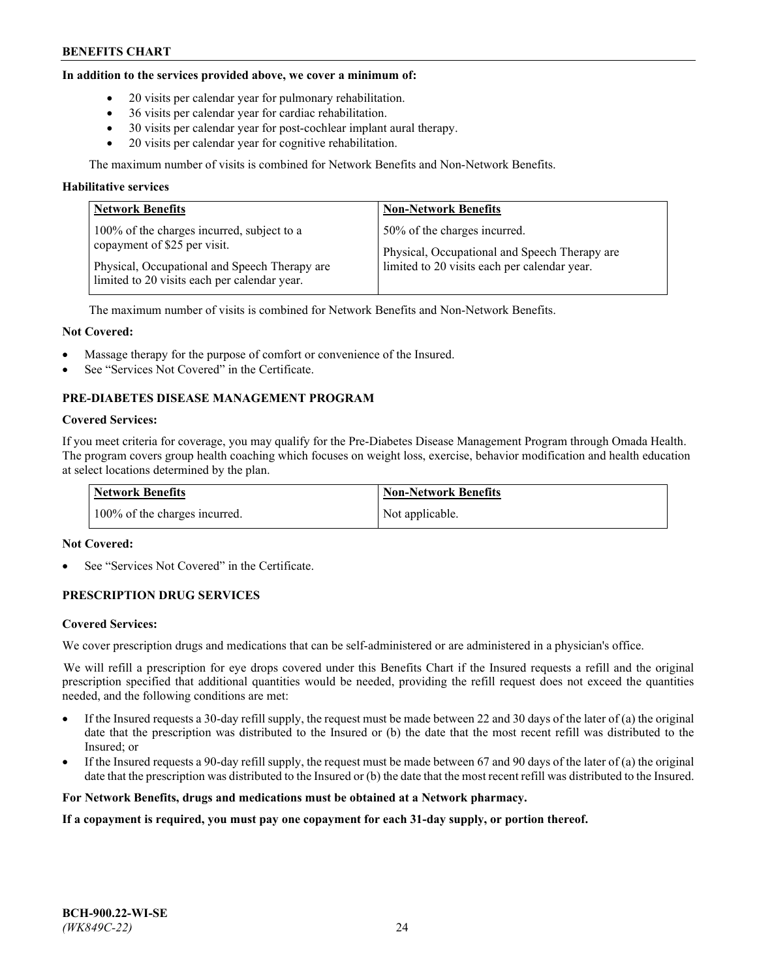#### **In addition to the services provided above, we cover a minimum of:**

- 20 visits per calendar year for pulmonary rehabilitation.
- 36 visits per calendar year for cardiac rehabilitation.
- 30 visits per calendar year for post-cochlear implant aural therapy.
- 20 visits per calendar year for cognitive rehabilitation.

The maximum number of visits is combined for Network Benefits and Non-Network Benefits.

#### **Habilitative services**

| <b>Network Benefits</b>                                                                                                                                                     | <b>Non-Network Benefits</b>                                                                                                   |
|-----------------------------------------------------------------------------------------------------------------------------------------------------------------------------|-------------------------------------------------------------------------------------------------------------------------------|
| 100% of the charges incurred, subject to a<br>copayment of \$25 per visit.<br>Physical, Occupational and Speech Therapy are<br>limited to 20 visits each per calendar year. | 50% of the charges incurred.<br>Physical, Occupational and Speech Therapy are<br>limited to 20 visits each per calendar year. |

The maximum number of visits is combined for Network Benefits and Non-Network Benefits.

#### **Not Covered:**

- Massage therapy for the purpose of comfort or convenience of the Insured.
- See "Services Not Covered" in the Certificate.

# **PRE-DIABETES DISEASE MANAGEMENT PROGRAM**

#### **Covered Services:**

If you meet criteria for coverage, you may qualify for the Pre-Diabetes Disease Management Program through Omada Health. The program covers group health coaching which focuses on weight loss, exercise, behavior modification and health education at select locations determined by the plan.

| <b>Network Benefits</b>       | <b>Non-Network Benefits</b> |
|-------------------------------|-----------------------------|
| 100% of the charges incurred. | Not applicable.             |

## **Not Covered:**

See "Services Not Covered" in the Certificate.

## **PRESCRIPTION DRUG SERVICES**

#### **Covered Services:**

We cover prescription drugs and medications that can be self-administered or are administered in a physician's office.

We will refill a prescription for eye drops covered under this Benefits Chart if the Insured requests a refill and the original prescription specified that additional quantities would be needed, providing the refill request does not exceed the quantities needed, and the following conditions are met:

- If the Insured requests a 30-day refill supply, the request must be made between 22 and 30 days of the later of (a) the original date that the prescription was distributed to the Insured or (b) the date that the most recent refill was distributed to the Insured; or
- If the Insured requests a 90-day refill supply, the request must be made between 67 and 90 days of the later of (a) the original date that the prescription was distributed to the Insured or (b) the date that the most recent refill was distributed to the Insured.

#### **For Network Benefits, drugs and medications must be obtained at a Network pharmacy.**

#### **If a copayment is required, you must pay one copayment for each 31-day supply, or portion thereof.**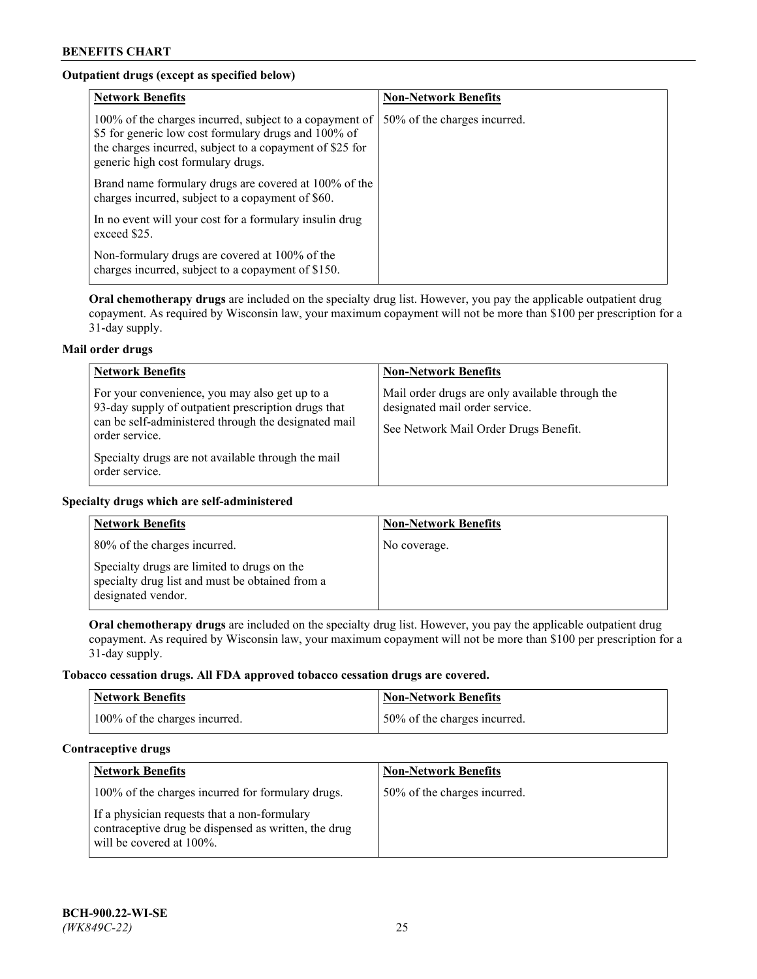# **Outpatient drugs (except as specified below)**

| <b>Network Benefits</b>                                                                                                                                                                                           | <b>Non-Network Benefits</b>  |
|-------------------------------------------------------------------------------------------------------------------------------------------------------------------------------------------------------------------|------------------------------|
| 100% of the charges incurred, subject to a copayment of<br>\$5 for generic low cost formulary drugs and 100% of<br>the charges incurred, subject to a copayment of \$25 for<br>generic high cost formulary drugs. | 50% of the charges incurred. |
| Brand name formulary drugs are covered at 100% of the<br>charges incurred, subject to a copayment of \$60.                                                                                                        |                              |
| In no event will your cost for a formulary insulin drug<br>exceed \$25.                                                                                                                                           |                              |
| Non-formulary drugs are covered at 100% of the<br>charges incurred, subject to a copayment of \$150.                                                                                                              |                              |

**Oral chemotherapy drugs** are included on the specialty drug list. However, you pay the applicable outpatient drug copayment. As required by Wisconsin law, your maximum copayment will not be more than \$100 per prescription for a 31-day supply.

## **Mail order drugs**

| <b>Network Benefits</b>                                                                                                                                                                                                                                 | <b>Non-Network Benefits</b>                                                                                                |
|---------------------------------------------------------------------------------------------------------------------------------------------------------------------------------------------------------------------------------------------------------|----------------------------------------------------------------------------------------------------------------------------|
| For your convenience, you may also get up to a<br>93-day supply of outpatient prescription drugs that<br>can be self-administered through the designated mail<br>order service.<br>Specialty drugs are not available through the mail<br>order service. | Mail order drugs are only available through the<br>designated mail order service.<br>See Network Mail Order Drugs Benefit. |

## **Specialty drugs which are self-administered**

| <b>Network Benefits</b>                                                                                              | <b>Non-Network Benefits</b> |
|----------------------------------------------------------------------------------------------------------------------|-----------------------------|
| 80% of the charges incurred.                                                                                         | No coverage.                |
| Specialty drugs are limited to drugs on the<br>specialty drug list and must be obtained from a<br>designated vendor. |                             |

**Oral chemotherapy drugs** are included on the specialty drug list. However, you pay the applicable outpatient drug copayment. As required by Wisconsin law, your maximum copayment will not be more than \$100 per prescription for a 31-day supply.

## **Tobacco cessation drugs. All FDA approved tobacco cessation drugs are covered.**

| <b>Network Benefits</b>       | Non-Network Benefits         |
|-------------------------------|------------------------------|
| 100% of the charges incurred. | 50% of the charges incurred. |

## **Contraceptive drugs**

| <b>Network Benefits</b>                                                                                                          | <b>Non-Network Benefits</b>  |
|----------------------------------------------------------------------------------------------------------------------------------|------------------------------|
| 100% of the charges incurred for formulary drugs.                                                                                | 50% of the charges incurred. |
| If a physician requests that a non-formulary<br>contraceptive drug be dispensed as written, the drug<br>will be covered at 100%. |                              |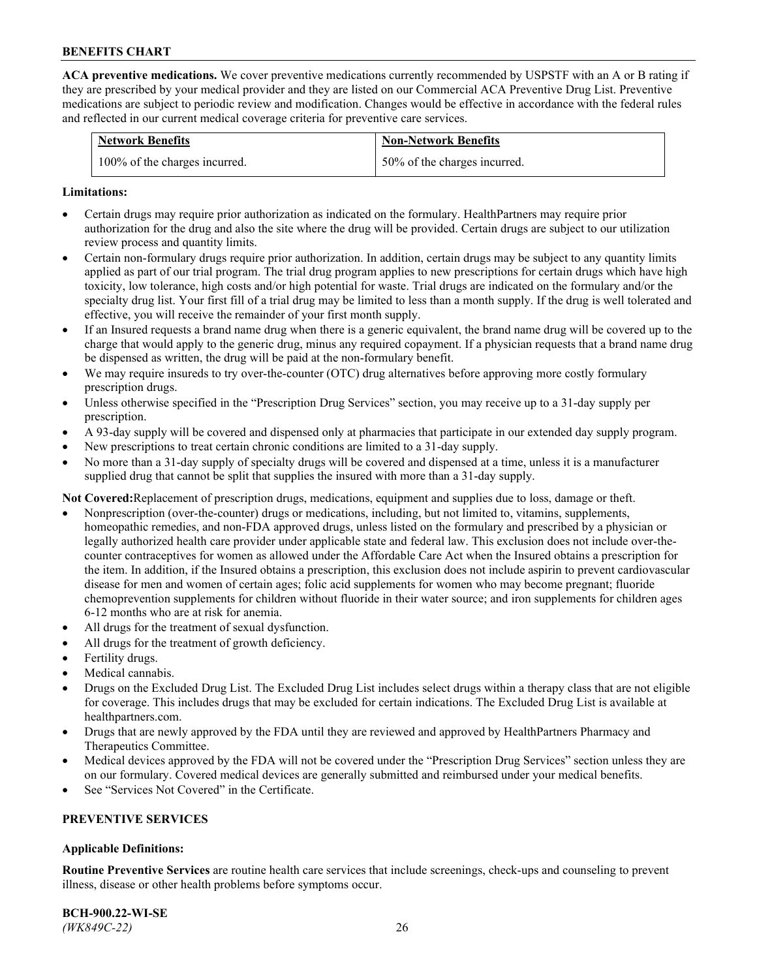**ACA preventive medications.** We cover preventive medications currently recommended by USPSTF with an A or B rating if they are prescribed by your medical provider and they are listed on our Commercial ACA Preventive Drug List. Preventive medications are subject to periodic review and modification. Changes would be effective in accordance with the federal rules and reflected in our current medical coverage criteria for preventive care services.

| <b>Network Benefits</b>       | <b>Non-Network Benefits</b>  |
|-------------------------------|------------------------------|
| 100% of the charges incurred. | 50% of the charges incurred. |

#### **Limitations:**

- Certain drugs may require prior authorization as indicated on the formulary. HealthPartners may require prior authorization for the drug and also the site where the drug will be provided. Certain drugs are subject to our utilization review process and quantity limits.
- Certain non-formulary drugs require prior authorization. In addition, certain drugs may be subject to any quantity limits applied as part of our trial program. The trial drug program applies to new prescriptions for certain drugs which have high toxicity, low tolerance, high costs and/or high potential for waste. Trial drugs are indicated on the formulary and/or the specialty drug list. Your first fill of a trial drug may be limited to less than a month supply. If the drug is well tolerated and effective, you will receive the remainder of your first month supply.
- If an Insured requests a brand name drug when there is a generic equivalent, the brand name drug will be covered up to the charge that would apply to the generic drug, minus any required copayment. If a physician requests that a brand name drug be dispensed as written, the drug will be paid at the non-formulary benefit.
- We may require insureds to try over-the-counter (OTC) drug alternatives before approving more costly formulary prescription drugs.
- Unless otherwise specified in the "Prescription Drug Services" section, you may receive up to a 31-day supply per prescription.
- A 93-day supply will be covered and dispensed only at pharmacies that participate in our extended day supply program.
- New prescriptions to treat certain chronic conditions are limited to a 31-day supply.
- No more than a 31-day supply of specialty drugs will be covered and dispensed at a time, unless it is a manufacturer supplied drug that cannot be split that supplies the insured with more than a 31-day supply.

**Not Covered:**Replacement of prescription drugs, medications, equipment and supplies due to loss, damage or theft.

- Nonprescription (over-the-counter) drugs or medications, including, but not limited to, vitamins, supplements, homeopathic remedies, and non-FDA approved drugs, unless listed on the formulary and prescribed by a physician or legally authorized health care provider under applicable state and federal law. This exclusion does not include over-thecounter contraceptives for women as allowed under the Affordable Care Act when the Insured obtains a prescription for the item. In addition, if the Insured obtains a prescription, this exclusion does not include aspirin to prevent cardiovascular disease for men and women of certain ages; folic acid supplements for women who may become pregnant; fluoride chemoprevention supplements for children without fluoride in their water source; and iron supplements for children ages 6-12 months who are at risk for anemia.
- All drugs for the treatment of sexual dysfunction.
- All drugs for the treatment of growth deficiency.
- Fertility drugs.
- Medical cannabis.
- Drugs on the Excluded Drug List. The Excluded Drug List includes select drugs within a therapy class that are not eligible for coverage. This includes drugs that may be excluded for certain indications. The Excluded Drug List is available at [healthpartners.com.](http://www.healthpartners.com/)
- Drugs that are newly approved by the FDA until they are reviewed and approved by HealthPartners Pharmacy and Therapeutics Committee.
- Medical devices approved by the FDA will not be covered under the "Prescription Drug Services" section unless they are on our formulary. Covered medical devices are generally submitted and reimbursed under your medical benefits.
- See "Services Not Covered" in the Certificate.

## **PREVENTIVE SERVICES**

## **Applicable Definitions:**

**Routine Preventive Services** are routine health care services that include screenings, check-ups and counseling to prevent illness, disease or other health problems before symptoms occur.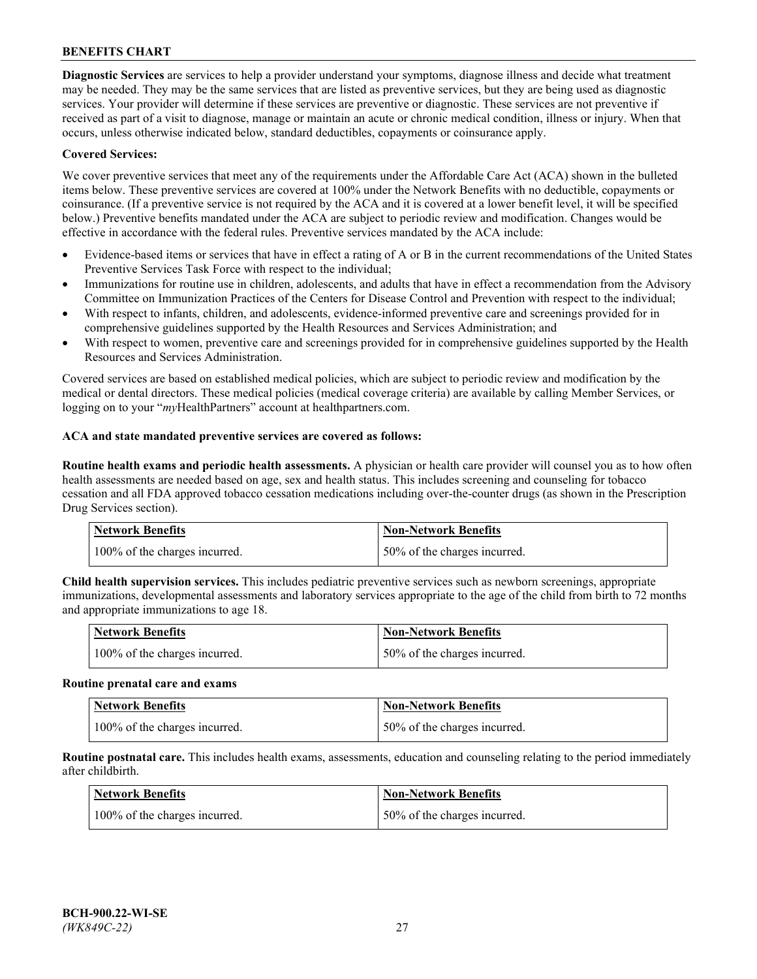**Diagnostic Services** are services to help a provider understand your symptoms, diagnose illness and decide what treatment may be needed. They may be the same services that are listed as preventive services, but they are being used as diagnostic services. Your provider will determine if these services are preventive or diagnostic. These services are not preventive if received as part of a visit to diagnose, manage or maintain an acute or chronic medical condition, illness or injury. When that occurs, unless otherwise indicated below, standard deductibles, copayments or coinsurance apply.

#### **Covered Services:**

We cover preventive services that meet any of the requirements under the Affordable Care Act (ACA) shown in the bulleted items below. These preventive services are covered at 100% under the Network Benefits with no deductible, copayments or coinsurance. (If a preventive service is not required by the ACA and it is covered at a lower benefit level, it will be specified below.) Preventive benefits mandated under the ACA are subject to periodic review and modification. Changes would be effective in accordance with the federal rules. Preventive services mandated by the ACA include:

- Evidence-based items or services that have in effect a rating of A or B in the current recommendations of the United States Preventive Services Task Force with respect to the individual;
- Immunizations for routine use in children, adolescents, and adults that have in effect a recommendation from the Advisory Committee on Immunization Practices of the Centers for Disease Control and Prevention with respect to the individual;
- With respect to infants, children, and adolescents, evidence-informed preventive care and screenings provided for in comprehensive guidelines supported by the Health Resources and Services Administration; and
- With respect to women, preventive care and screenings provided for in comprehensive guidelines supported by the Health Resources and Services Administration.

Covered services are based on established medical policies, which are subject to periodic review and modification by the medical or dental directors. These medical policies (medical coverage criteria) are available by calling Member Services, or logging on to your "*my*HealthPartners" account at [healthpartners.com.](https://www.healthpartners.com/hp/index.html)

#### **ACA and state mandated preventive services are covered as follows:**

**Routine health exams and periodic health assessments.** A physician or health care provider will counsel you as to how often health assessments are needed based on age, sex and health status. This includes screening and counseling for tobacco cessation and all FDA approved tobacco cessation medications including over-the-counter drugs (as shown in the Prescription Drug Services section).

| Network Benefits              | <b>Non-Network Benefits</b>  |
|-------------------------------|------------------------------|
| 100% of the charges incurred. | 50% of the charges incurred. |

**Child health supervision services.** This includes pediatric preventive services such as newborn screenings, appropriate immunizations, developmental assessments and laboratory services appropriate to the age of the child from birth to 72 months and appropriate immunizations to age 18.

| <b>Network Benefits</b>       | <b>Non-Network Benefits</b>  |
|-------------------------------|------------------------------|
| 100% of the charges incurred. | 50% of the charges incurred. |

#### **Routine prenatal care and exams**

| Network Benefits              | <b>Non-Network Benefits</b>  |
|-------------------------------|------------------------------|
| 100% of the charges incurred. | 50% of the charges incurred. |

**Routine postnatal care.** This includes health exams, assessments, education and counseling relating to the period immediately after childbirth.

| <b>Network Benefits</b>       | <b>Non-Network Benefits</b>  |
|-------------------------------|------------------------------|
| 100% of the charges incurred. | 50% of the charges incurred. |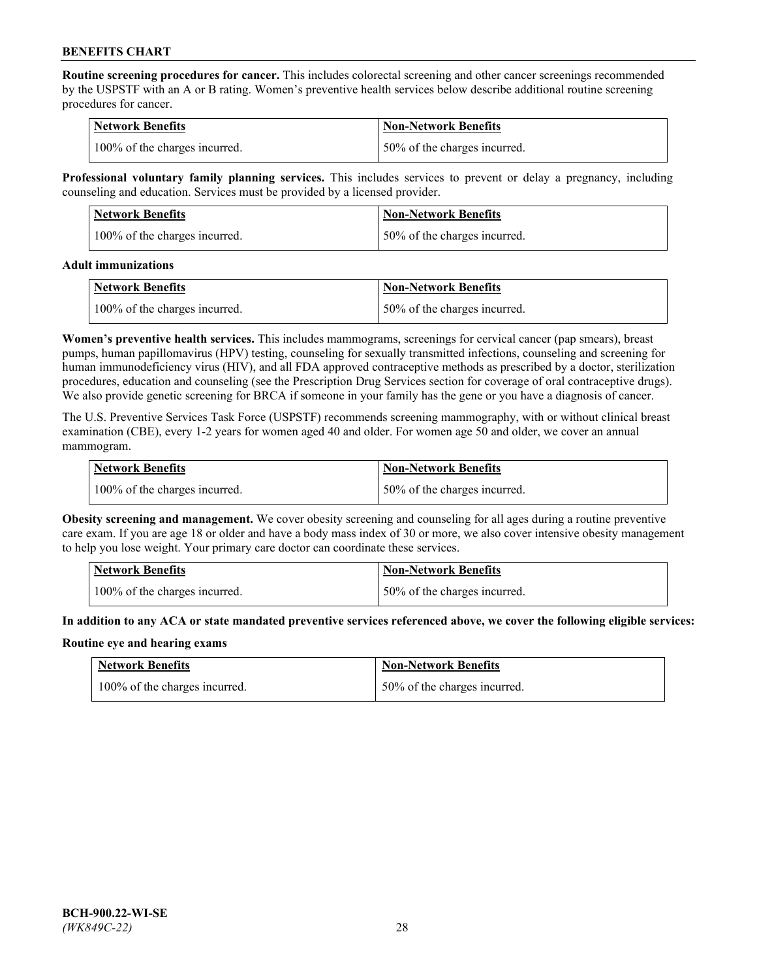**Routine screening procedures for cancer.** This includes colorectal screening and other cancer screenings recommended by the USPSTF with an A or B rating. Women's preventive health services below describe additional routine screening procedures for cancer.

| <b>Network Benefits</b>       | <b>Non-Network Benefits</b>  |
|-------------------------------|------------------------------|
| 100% of the charges incurred. | 50% of the charges incurred. |

**Professional voluntary family planning services.** This includes services to prevent or delay a pregnancy, including counseling and education. Services must be provided by a licensed provider.

| Network Benefits              | <b>Non-Network Benefits</b>  |
|-------------------------------|------------------------------|
| 100% of the charges incurred. | 50% of the charges incurred. |

#### **Adult immunizations**

| <b>Network Benefits</b>       | Non-Network Benefits         |
|-------------------------------|------------------------------|
| 100% of the charges incurred. | 50% of the charges incurred. |

**Women's preventive health services.** This includes mammograms, screenings for cervical cancer (pap smears), breast pumps, human papillomavirus (HPV) testing, counseling for sexually transmitted infections, counseling and screening for human immunodeficiency virus (HIV), and all FDA approved contraceptive methods as prescribed by a doctor, sterilization procedures, education and counseling (see the Prescription Drug Services section for coverage of oral contraceptive drugs). We also provide genetic screening for BRCA if someone in your family has the gene or you have a diagnosis of cancer.

The U.S. Preventive Services Task Force (USPSTF) recommends screening mammography, with or without clinical breast examination (CBE), every 1-2 years for women aged 40 and older. For women age 50 and older, we cover an annual mammogram.

| Network Benefits              | <b>Non-Network Benefits</b>  |
|-------------------------------|------------------------------|
| 100% of the charges incurred. | 50% of the charges incurred. |

**Obesity screening and management.** We cover obesity screening and counseling for all ages during a routine preventive care exam. If you are age 18 or older and have a body mass index of 30 or more, we also cover intensive obesity management to help you lose weight. Your primary care doctor can coordinate these services.

| Network Benefits              | <b>Non-Network Benefits</b>  |
|-------------------------------|------------------------------|
| 100% of the charges incurred. | 50% of the charges incurred. |

**In addition to any ACA or state mandated preventive services referenced above, we cover the following eligible services:**

#### **Routine eye and hearing exams**

| <b>Network Benefits</b>       | <b>Non-Network Benefits</b>  |
|-------------------------------|------------------------------|
| 100% of the charges incurred. | 50% of the charges incurred. |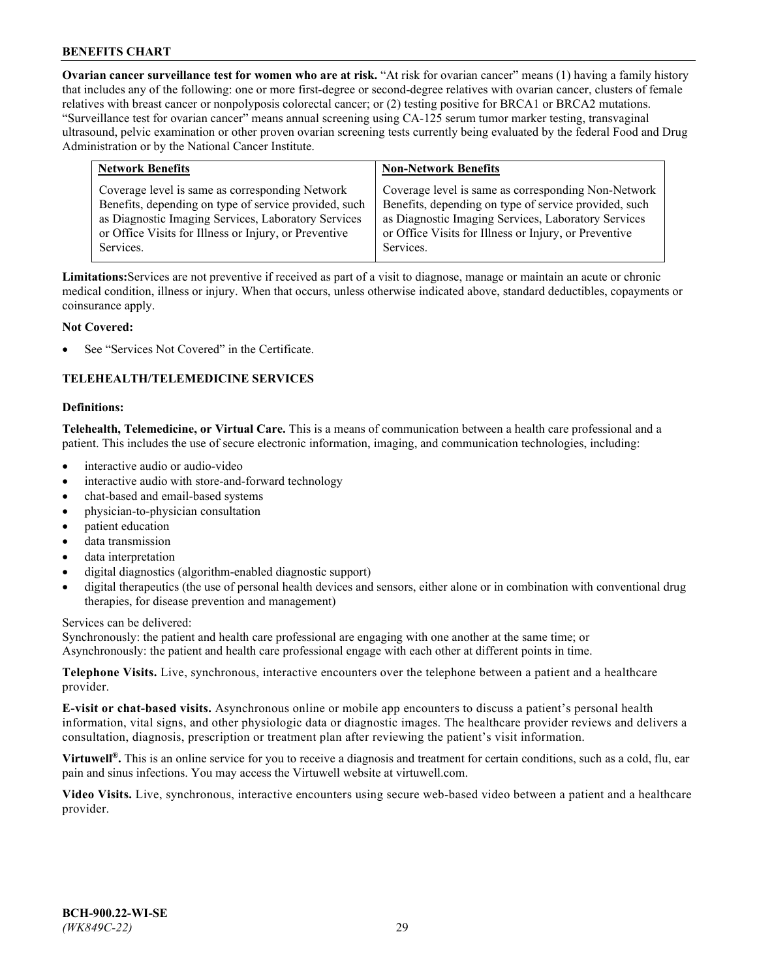**Ovarian cancer surveillance test for women who are at risk.** "At risk for ovarian cancer" means (1) having a family history that includes any of the following: one or more first-degree or second-degree relatives with ovarian cancer, clusters of female relatives with breast cancer or nonpolyposis colorectal cancer; or (2) testing positive for BRCA1 or BRCA2 mutations. "Surveillance test for ovarian cancer" means annual screening using CA-125 serum tumor marker testing, transvaginal ultrasound, pelvic examination or other proven ovarian screening tests currently being evaluated by the federal Food and Drug Administration or by the National Cancer Institute.

| <b>Network Benefits</b>                               | <b>Non-Network Benefits</b>                           |
|-------------------------------------------------------|-------------------------------------------------------|
| Coverage level is same as corresponding Network       | Coverage level is same as corresponding Non-Network   |
| Benefits, depending on type of service provided, such | Benefits, depending on type of service provided, such |
| as Diagnostic Imaging Services, Laboratory Services   | as Diagnostic Imaging Services, Laboratory Services   |
| or Office Visits for Illness or Injury, or Preventive | or Office Visits for Illness or Injury, or Preventive |
| Services.                                             | Services.                                             |

**Limitations:**Services are not preventive if received as part of a visit to diagnose, manage or maintain an acute or chronic medical condition, illness or injury. When that occurs, unless otherwise indicated above, standard deductibles, copayments or coinsurance apply.

## **Not Covered:**

See "Services Not Covered" in the Certificate.

## **TELEHEALTH/TELEMEDICINE SERVICES**

#### **Definitions:**

**Telehealth, Telemedicine, or Virtual Care.** This is a means of communication between a health care professional and a patient. This includes the use of secure electronic information, imaging, and communication technologies, including:

- interactive audio or audio-video
- interactive audio with store-and-forward technology
- chat-based and email-based systems
- physician-to-physician consultation
- patient education
- data transmission
- data interpretation
- digital diagnostics (algorithm-enabled diagnostic support)
- digital therapeutics (the use of personal health devices and sensors, either alone or in combination with conventional drug therapies, for disease prevention and management)

Services can be delivered:

Synchronously: the patient and health care professional are engaging with one another at the same time; or Asynchronously: the patient and health care professional engage with each other at different points in time.

**Telephone Visits.** Live, synchronous, interactive encounters over the telephone between a patient and a healthcare provider.

**E-visit or chat-based visits.** Asynchronous online or mobile app encounters to discuss a patient's personal health information, vital signs, and other physiologic data or diagnostic images. The healthcare provider reviews and delivers a consultation, diagnosis, prescription or treatment plan after reviewing the patient's visit information.

**Virtuwell®.** This is an online service for you to receive a diagnosis and treatment for certain conditions, such as a cold, flu, ear pain and sinus infections. You may access the Virtuwell website at [virtuwell.com.](https://www.virtuwell.com/)

**Video Visits.** Live, synchronous, interactive encounters using secure web-based video between a patient and a healthcare provider.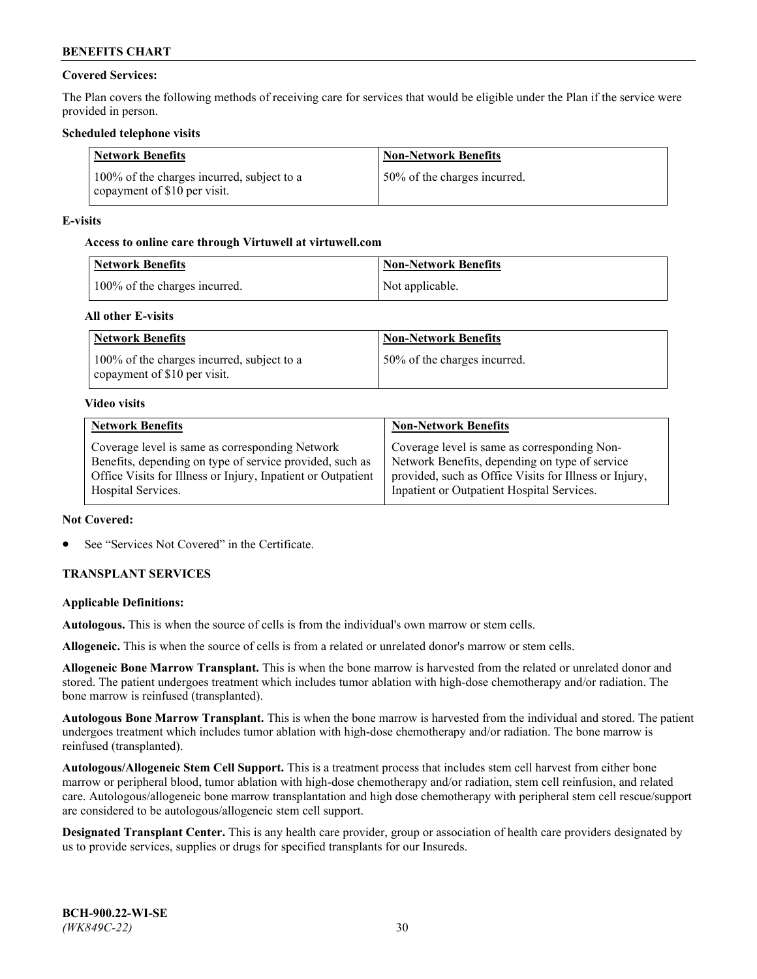## **Covered Services:**

The Plan covers the following methods of receiving care for services that would be eligible under the Plan if the service were provided in person.

#### **Scheduled telephone visits**

| Network Benefits                                                            | <b>Non-Network Benefits</b>  |
|-----------------------------------------------------------------------------|------------------------------|
| 100% of the charges incurred, subject to a<br>copayment of $$10$ per visit. | 50% of the charges incurred. |

#### **E-visits**

#### **Access to online care through Virtuwell at [virtuwell.com](https://www.virtuwell.com/)**

| <b>Network Benefits</b>       | <b>Non-Network Benefits</b> |
|-------------------------------|-----------------------------|
| 100% of the charges incurred. | Not applicable.             |

#### **All other E-visits**

| <b>Network Benefits</b>                                                     | <b>Non-Network Benefits</b>   |
|-----------------------------------------------------------------------------|-------------------------------|
| 100% of the charges incurred, subject to a<br>copayment of $$10$ per visit. | 150% of the charges incurred. |

#### **Video visits**

| <b>Network Benefits</b>                                      | <b>Non-Network Benefits</b>                            |
|--------------------------------------------------------------|--------------------------------------------------------|
| Coverage level is same as corresponding Network              | Coverage level is same as corresponding Non-           |
| Benefits, depending on type of service provided, such as     | Network Benefits, depending on type of service         |
| Office Visits for Illness or Injury, Inpatient or Outpatient | provided, such as Office Visits for Illness or Injury, |
| Hospital Services.                                           | Inpatient or Outpatient Hospital Services.             |

#### **Not Covered:**

See "Services Not Covered" in the Certificate.

## **TRANSPLANT SERVICES**

#### **Applicable Definitions:**

**Autologous.** This is when the source of cells is from the individual's own marrow or stem cells.

**Allogeneic.** This is when the source of cells is from a related or unrelated donor's marrow or stem cells.

**Allogeneic Bone Marrow Transplant.** This is when the bone marrow is harvested from the related or unrelated donor and stored. The patient undergoes treatment which includes tumor ablation with high-dose chemotherapy and/or radiation. The bone marrow is reinfused (transplanted).

**Autologous Bone Marrow Transplant.** This is when the bone marrow is harvested from the individual and stored. The patient undergoes treatment which includes tumor ablation with high-dose chemotherapy and/or radiation. The bone marrow is reinfused (transplanted).

**Autologous/Allogeneic Stem Cell Support.** This is a treatment process that includes stem cell harvest from either bone marrow or peripheral blood, tumor ablation with high-dose chemotherapy and/or radiation, stem cell reinfusion, and related care. Autologous/allogeneic bone marrow transplantation and high dose chemotherapy with peripheral stem cell rescue/support are considered to be autologous/allogeneic stem cell support.

**Designated Transplant Center.** This is any health care provider, group or association of health care providers designated by us to provide services, supplies or drugs for specified transplants for our Insureds.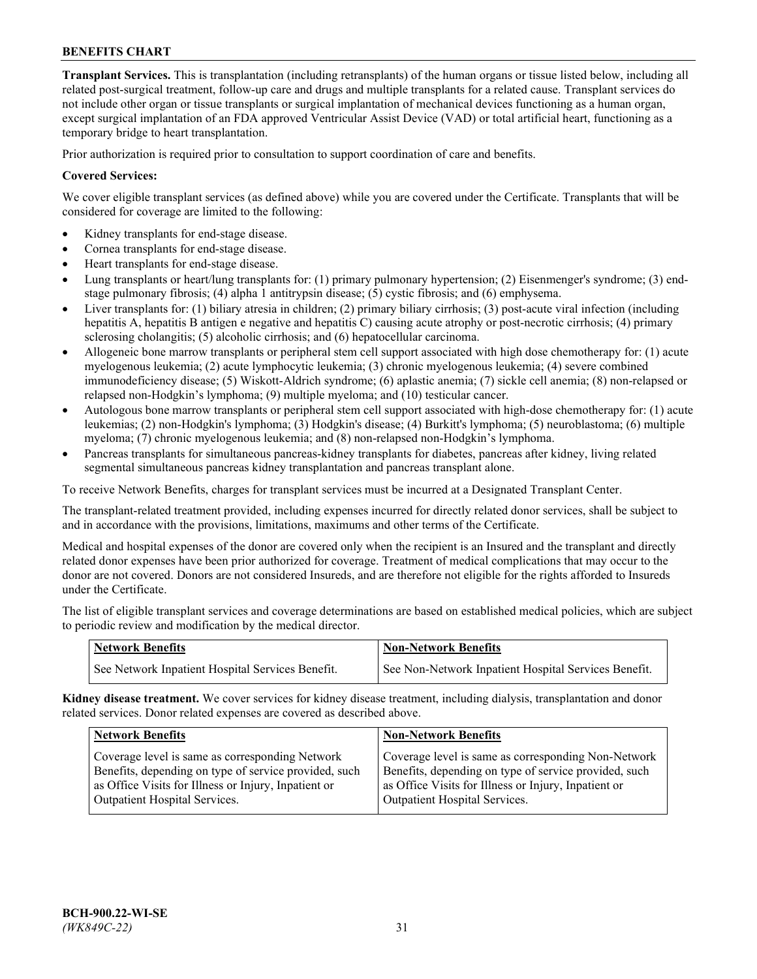**Transplant Services.** This is transplantation (including retransplants) of the human organs or tissue listed below, including all related post-surgical treatment, follow-up care and drugs and multiple transplants for a related cause. Transplant services do not include other organ or tissue transplants or surgical implantation of mechanical devices functioning as a human organ, except surgical implantation of an FDA approved Ventricular Assist Device (VAD) or total artificial heart, functioning as a temporary bridge to heart transplantation.

Prior authorization is required prior to consultation to support coordination of care and benefits.

# **Covered Services:**

We cover eligible transplant services (as defined above) while you are covered under the Certificate. Transplants that will be considered for coverage are limited to the following:

- Kidney transplants for end-stage disease.
- Cornea transplants for end-stage disease.
- Heart transplants for end-stage disease.
- Lung transplants or heart/lung transplants for: (1) primary pulmonary hypertension; (2) Eisenmenger's syndrome; (3) endstage pulmonary fibrosis; (4) alpha 1 antitrypsin disease; (5) cystic fibrosis; and (6) emphysema.
- Liver transplants for: (1) biliary atresia in children; (2) primary biliary cirrhosis; (3) post-acute viral infection (including hepatitis A, hepatitis B antigen e negative and hepatitis C) causing acute atrophy or post-necrotic cirrhosis; (4) primary sclerosing cholangitis; (5) alcoholic cirrhosis; and (6) hepatocellular carcinoma.
- Allogeneic bone marrow transplants or peripheral stem cell support associated with high dose chemotherapy for: (1) acute myelogenous leukemia; (2) acute lymphocytic leukemia; (3) chronic myelogenous leukemia; (4) severe combined immunodeficiency disease; (5) Wiskott-Aldrich syndrome; (6) aplastic anemia; (7) sickle cell anemia; (8) non-relapsed or relapsed non-Hodgkin's lymphoma; (9) multiple myeloma; and (10) testicular cancer.
- Autologous bone marrow transplants or peripheral stem cell support associated with high-dose chemotherapy for: (1) acute leukemias; (2) non-Hodgkin's lymphoma; (3) Hodgkin's disease; (4) Burkitt's lymphoma; (5) neuroblastoma; (6) multiple myeloma; (7) chronic myelogenous leukemia; and (8) non-relapsed non-Hodgkin's lymphoma.
- Pancreas transplants for simultaneous pancreas-kidney transplants for diabetes, pancreas after kidney, living related segmental simultaneous pancreas kidney transplantation and pancreas transplant alone.

To receive Network Benefits, charges for transplant services must be incurred at a Designated Transplant Center.

The transplant-related treatment provided, including expenses incurred for directly related donor services, shall be subject to and in accordance with the provisions, limitations, maximums and other terms of the Certificate.

Medical and hospital expenses of the donor are covered only when the recipient is an Insured and the transplant and directly related donor expenses have been prior authorized for coverage. Treatment of medical complications that may occur to the donor are not covered. Donors are not considered Insureds, and are therefore not eligible for the rights afforded to Insureds under the Certificate.

The list of eligible transplant services and coverage determinations are based on established medical policies, which are subject to periodic review and modification by the medical director.

| <b>Network Benefits</b>                          | <b>Non-Network Benefits</b>                          |
|--------------------------------------------------|------------------------------------------------------|
| See Network Inpatient Hospital Services Benefit. | See Non-Network Inpatient Hospital Services Benefit. |

**Kidney disease treatment.** We cover services for kidney disease treatment, including dialysis, transplantation and donor related services. Donor related expenses are covered as described above.

| Network Benefits                                      | <b>Non-Network Benefits</b>                           |
|-------------------------------------------------------|-------------------------------------------------------|
| Coverage level is same as corresponding Network       | Coverage level is same as corresponding Non-Network   |
| Benefits, depending on type of service provided, such | Benefits, depending on type of service provided, such |
| as Office Visits for Illness or Injury, Inpatient or  | as Office Visits for Illness or Injury, Inpatient or  |
| Outpatient Hospital Services.                         | Outpatient Hospital Services.                         |